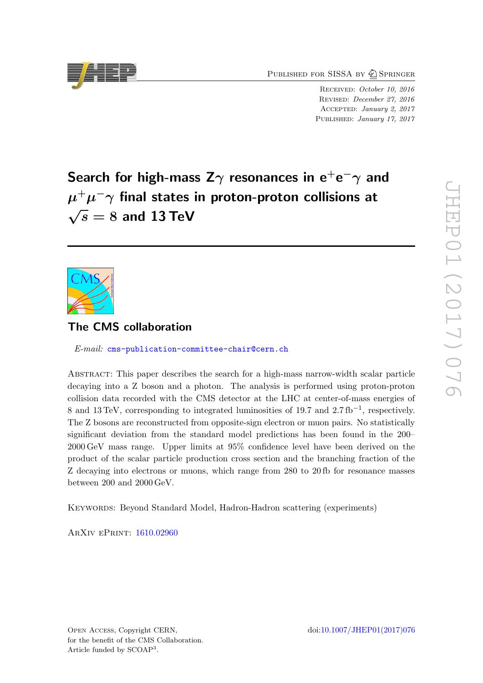PUBLISHED FOR SISSA BY 2 SPRINGER

Received: October 10, 2016 Revised: December 27, 2016 Accepted: January 2, 2017 Published: January 17, 2017

# Search for high-mass Z $\gamma$  resonances in  $\mathsf{e}^+\mathsf{e}^-\gamma$  and  $\mu^+\mu^-\gamma$  final states in proton-proton collisions at  $\sqrt{s} = 8$  and 13 TeV



# The CMS collaboration

E-mail: [cms-publication-committee-chair@cern.ch](mailto:cms-publication-committee-chair@cern.ch)

Abstract: This paper describes the search for a high-mass narrow-width scalar particle decaying into a Z boson and a photon. The analysis is performed using proton-proton collision data recorded with the CMS detector at the LHC at center-of-mass energies of 8 and 13 TeV, corresponding to integrated luminosities of 19.7 and 2.7 fb<sup>-1</sup>, respectively. The Z bosons are reconstructed from opposite-sign electron or muon pairs. No statistically significant deviation from the standard model predictions has been found in the 200– 2000 GeV mass range. Upper limits at 95% confidence level have been derived on the product of the scalar particle production cross section and the branching fraction of the Z decaying into electrons or muons, which range from 280 to 20 fb for resonance masses between 200 and 2000 GeV.

Keywords: Beyond Standard Model, Hadron-Hadron scattering (experiments)

ArXiv ePrint: [1610.02960](https://arxiv.org/abs/1610.02960)

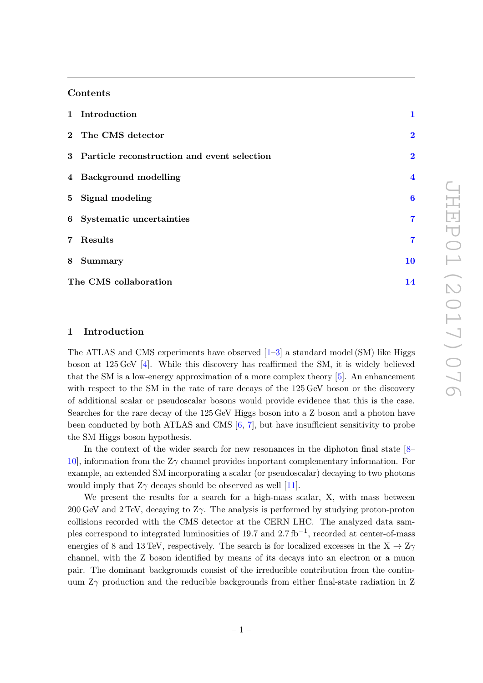### Contents

| 1 Introduction                                | $\mathbf{1}$            |
|-----------------------------------------------|-------------------------|
| 2 The CMS detector                            | $\overline{\mathbf{2}}$ |
| 3 Particle reconstruction and event selection | $\bf{2}$                |
| 4 Background modelling                        | $\overline{\mathbf{4}}$ |
| 5 Signal modeling                             | $\bf{6}$                |
| 6 Systematic uncertainties                    | 7                       |
| 7 Results                                     | 7                       |
| 8 Summary                                     | 10                      |
| The CMS collaboration                         | 14                      |

### <span id="page-1-0"></span>1 Introduction

The ATLAS and CMS experiments have observed  $[1-3]$  $[1-3]$  a standard model (SM) like Higgs boson at 125 GeV [\[4\]](#page-11-2). While this discovery has reaffirmed the SM, it is widely believed that the SM is a low-energy approximation of a more complex theory [\[5\]](#page-11-3). An enhancement with respect to the SM in the rate of rare decays of the 125 GeV boson or the discovery of additional scalar or pseudoscalar bosons would provide evidence that this is the case. Searches for the rare decay of the 125 GeV Higgs boson into a Z boson and a photon have been conducted by both ATLAS and CMS [\[6,](#page-11-4) [7\]](#page-11-5), but have insufficient sensitivity to probe the SM Higgs boson hypothesis.

In the context of the wider search for new resonances in the diphoton final state [\[8–](#page-11-6) [10\]](#page-11-7), information from the  $Z_{\gamma}$  channel provides important complementary information. For example, an extended SM incorporating a scalar (or pseudoscalar) decaying to two photons would imply that  $Z\gamma$  decays should be observed as well [\[11\]](#page-11-8).

We present the results for a search for a high-mass scalar, X, with mass between 200 GeV and 2 TeV, decaying to  $Z\gamma$ . The analysis is performed by studying proton-proton collisions recorded with the CMS detector at the CERN LHC. The analyzed data samples correspond to integrated luminosities of 19.7 and 2.7 fb<sup>-1</sup>, recorded at center-of-mass energies of 8 and 13 TeV, respectively. The search is for localized excesses in the  $X \to Z\gamma$ channel, with the Z boson identified by means of its decays into an electron or a muon pair. The dominant backgrounds consist of the irreducible contribution from the continuum  $Z_{\gamma}$  production and the reducible backgrounds from either final-state radiation in Z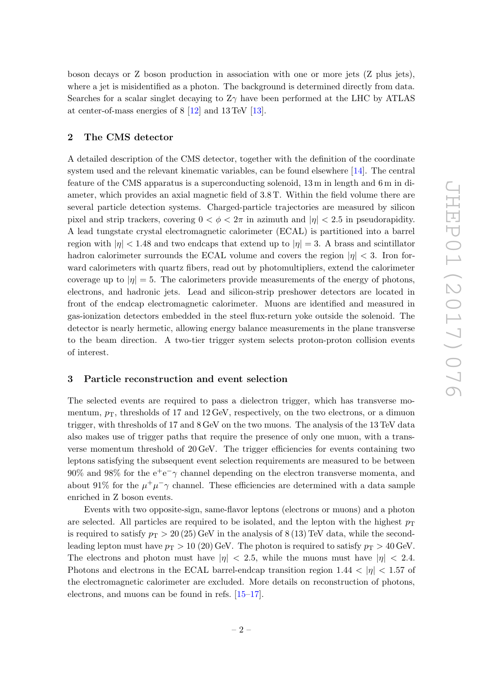boson decays or Z boson production in association with one or more jets (Z plus jets), where a jet is misidentified as a photon. The background is determined directly from data. Searches for a scalar singlet decaying to  $Z_{\gamma}$  have been performed at the LHC by ATLAS at center-of-mass energies of 8 [\[12\]](#page-11-9) and 13 TeV [\[13\]](#page-12-0).

### <span id="page-2-0"></span>2 The CMS detector

A detailed description of the CMS detector, together with the definition of the coordinate system used and the relevant kinematic variables, can be found elsewhere [\[14\]](#page-12-1). The central feature of the CMS apparatus is a superconducting solenoid, 13 m in length and 6 m in diameter, which provides an axial magnetic field of 3.8 T. Within the field volume there are several particle detection systems. Charged-particle trajectories are measured by silicon pixel and strip trackers, covering  $0 < \phi < 2\pi$  in azimuth and  $|\eta| < 2.5$  in pseudorapidity. A lead tungstate crystal electromagnetic calorimeter (ECAL) is partitioned into a barrel region with  $|\eta|$  < 1.48 and two endcaps that extend up to  $|\eta| = 3$ . A brass and scintillator hadron calorimeter surrounds the ECAL volume and covers the region  $|\eta| < 3$ . Iron forward calorimeters with quartz fibers, read out by photomultipliers, extend the calorimeter coverage up to  $|\eta| = 5$ . The calorimeters provide measurements of the energy of photons, electrons, and hadronic jets. Lead and silicon-strip preshower detectors are located in front of the endcap electromagnetic calorimeter. Muons are identified and measured in gas-ionization detectors embedded in the steel flux-return yoke outside the solenoid. The detector is nearly hermetic, allowing energy balance measurements in the plane transverse to the beam direction. A two-tier trigger system selects proton-proton collision events of interest.

### <span id="page-2-1"></span>3 Particle reconstruction and event selection

The selected events are required to pass a dielectron trigger, which has transverse momentum,  $p_T$ , thresholds of 17 and 12 GeV, respectively, on the two electrons, or a dimuon trigger, with thresholds of 17 and 8 GeV on the two muons. The analysis of the 13 TeV data also makes use of trigger paths that require the presence of only one muon, with a transverse momentum threshold of 20 GeV. The trigger efficiencies for events containing two leptons satisfying the subsequent event selection requirements are measured to be between 90% and 98% for the  $e^+e^-\gamma$  channel depending on the electron transverse momenta, and about 91% for the  $\mu^+\mu^-\gamma$  channel. These efficiencies are determined with a data sample enriched in Z boson events.

Events with two opposite-sign, same-flavor leptons (electrons or muons) and a photon are selected. All particles are required to be isolated, and the lepton with the highest  $p_T$ is required to satisfy  $p_T > 20(25)$  GeV in the analysis of 8 (13) TeV data, while the secondleading lepton must have  $p_T > 10$  (20) GeV. The photon is required to satisfy  $p_T > 40$  GeV. The electrons and photon must have  $|\eta| < 2.5$ , while the muons must have  $|\eta| < 2.4$ . Photons and electrons in the ECAL barrel-endcap transition region  $1.44 < |\eta| < 1.57$  of the electromagnetic calorimeter are excluded. More details on reconstruction of photons, electrons, and muons can be found in refs. [\[15](#page-12-2)[–17\]](#page-12-3).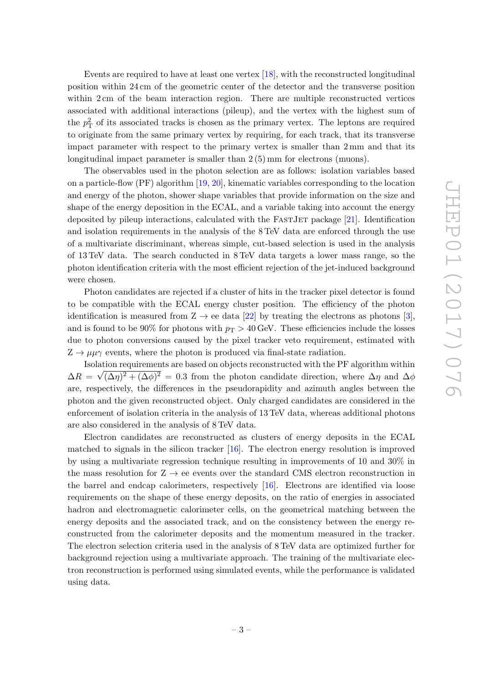Events are required to have at least one vertex [\[18\]](#page-12-4), with the reconstructed longitudinal position within 24 cm of the geometric center of the detector and the transverse position within 2 cm of the beam interaction region. There are multiple reconstructed vertices associated with additional interactions (pileup), and the vertex with the highest sum of the  $p_T^2$  of its associated tracks is chosen as the primary vertex. The leptons are required to originate from the same primary vertex by requiring, for each track, that its transverse impact parameter with respect to the primary vertex is smaller than 2 mm and that its longitudinal impact parameter is smaller than 2 (5) mm for electrons (muons).

The observables used in the photon selection are as follows: isolation variables based on a particle-flow (PF) algorithm [\[19,](#page-12-5) [20\]](#page-12-6), kinematic variables corresponding to the location and energy of the photon, shower shape variables that provide information on the size and shape of the energy deposition in the ECAL, and a variable taking into account the energy deposited by pileup interactions, calculated with the FASTJET package  $[21]$ . Identification and isolation requirements in the analysis of the 8 TeV data are enforced through the use of a multivariate discriminant, whereas simple, cut-based selection is used in the analysis of 13 TeV data. The search conducted in 8 TeV data targets a lower mass range, so the photon identification criteria with the most efficient rejection of the jet-induced background were chosen.

Photon candidates are rejected if a cluster of hits in the tracker pixel detector is found to be compatible with the ECAL energy cluster position. The efficiency of the photon identification is measured from  $Z \rightarrow$  ee data [\[22\]](#page-12-8) by treating the electrons as photons [\[3\]](#page-11-1), and is found to be 90% for photons with  $p_T > 40$  GeV. These efficiencies include the losses due to photon conversions caused by the pixel tracker veto requirement, estimated with  $Z \rightarrow \mu \mu \gamma$  events, where the photon is produced via final-state radiation.

Isolation requirements are based on objects reconstructed with the PF algorithm within  $\Delta R = \sqrt{(\Delta \eta)^2 + (\Delta \phi)^2} = 0.3$  from the photon candidate direction, where  $\Delta \eta$  and  $\Delta \phi$ are, respectively, the differences in the pseudorapidity and azimuth angles between the photon and the given reconstructed object. Only charged candidates are considered in the enforcement of isolation criteria in the analysis of 13 TeV data, whereas additional photons are also considered in the analysis of 8 TeV data.

Electron candidates are reconstructed as clusters of energy deposits in the ECAL matched to signals in the silicon tracker [\[16\]](#page-12-9). The electron energy resolution is improved by using a multivariate regression technique resulting in improvements of 10 and 30% in the mass resolution for  $Z \rightarrow ee$  events over the standard CMS electron reconstruction in the barrel and endcap calorimeters, respectively [\[16\]](#page-12-9). Electrons are identified via loose requirements on the shape of these energy deposits, on the ratio of energies in associated hadron and electromagnetic calorimeter cells, on the geometrical matching between the energy deposits and the associated track, and on the consistency between the energy reconstructed from the calorimeter deposits and the momentum measured in the tracker. The electron selection criteria used in the analysis of 8 TeV data are optimized further for background rejection using a multivariate approach. The training of the multivariate electron reconstruction is performed using simulated events, while the performance is validated using data.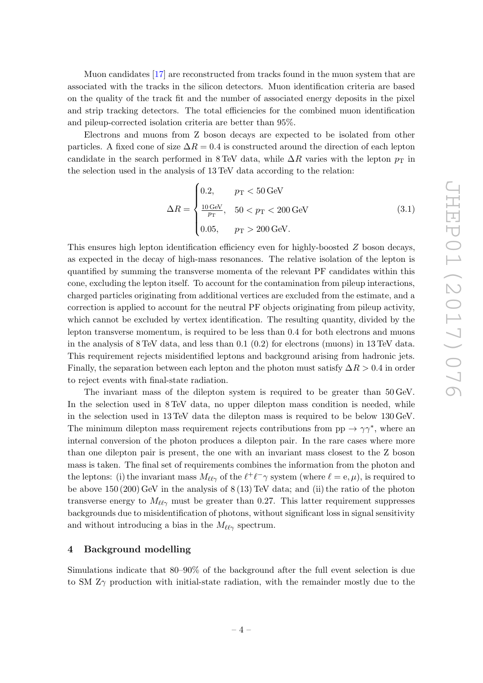Muon candidates [\[17\]](#page-12-3) are reconstructed from tracks found in the muon system that are associated with the tracks in the silicon detectors. Muon identification criteria are based on the quality of the track fit and the number of associated energy deposits in the pixel and strip tracking detectors. The total efficiencies for the combined muon identification and pileup-corrected isolation criteria are better than 95%.

Electrons and muons from Z boson decays are expected to be isolated from other particles. A fixed cone of size  $\Delta R = 0.4$  is constructed around the direction of each lepton candidate in the search performed in 8 TeV data, while  $\Delta R$  varies with the lepton  $p_T$  in the selection used in the analysis of 13 TeV data according to the relation:

$$
\Delta R = \begin{cases} 0.2, & p_{\text{T}} < 50 \text{ GeV} \\ \frac{10 \text{ GeV}}{p_{\text{T}}}, & 50 < p_{\text{T}} < 200 \text{ GeV} \\ 0.05, & p_{\text{T}} > 200 \text{ GeV}. \end{cases}
$$
(3.1)

This ensures high lepton identification efficiency even for highly-boosted Z boson decays, as expected in the decay of high-mass resonances. The relative isolation of the lepton is quantified by summing the transverse momenta of the relevant PF candidates within this cone, excluding the lepton itself. To account for the contamination from pileup interactions, charged particles originating from additional vertices are excluded from the estimate, and a correction is applied to account for the neutral PF objects originating from pileup activity, which cannot be excluded by vertex identification. The resulting quantity, divided by the lepton transverse momentum, is required to be less than 0.4 for both electrons and muons in the analysis of 8 TeV data, and less than 0.1 (0.2) for electrons (muons) in 13 TeV data. This requirement rejects misidentified leptons and background arising from hadronic jets. Finally, the separation between each lepton and the photon must satisfy  $\Delta R > 0.4$  in order to reject events with final-state radiation.

The invariant mass of the dilepton system is required to be greater than 50 GeV. In the selection used in 8 TeV data, no upper dilepton mass condition is needed, while in the selection used in 13 TeV data the dilepton mass is required to be below 130 GeV. The minimum dilepton mass requirement rejects contributions from  $pp \to \gamma \gamma^*$ , where an internal conversion of the photon produces a dilepton pair. In the rare cases where more than one dilepton pair is present, the one with an invariant mass closest to the Z boson mass is taken. The final set of requirements combines the information from the photon and the leptons: (i) the invariant mass  $M_{\ell\ell\gamma}$  of the  $\ell^+\ell^-\gamma$  system (where  $\ell = e, \mu$ ), is required to be above 150 (200) GeV in the analysis of 8 (13) TeV data; and (ii) the ratio of the photon transverse energy to  $M_{\ell\ell\gamma}$  must be greater than 0.27. This latter requirement suppresses backgrounds due to misidentification of photons, without significant loss in signal sensitivity and without introducing a bias in the  $M_{\ell\ell\gamma}$  spectrum.

### <span id="page-4-0"></span>4 Background modelling

Simulations indicate that 80–90% of the background after the full event selection is due to SM  $Z\gamma$  production with initial-state radiation, with the remainder mostly due to the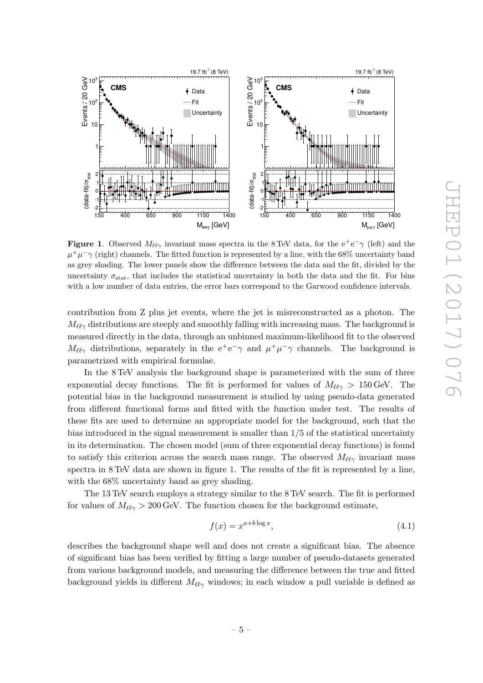

<span id="page-5-0"></span>Figure 1. Observed  $M_{\ell\ell\gamma}$  invariant mass spectra in the 8 TeV data, for the e<sup>+</sup>e<sup>-</sup> $\gamma$  (left) and the  $\mu^+\mu^-\gamma$  (right) channels. The fitted function is represented by a line, with the 68% uncertainty band as grey shading. The lower panels show the difference between the data and the fit, divided by the uncertainty  $\sigma_{\text{stat}}$ , that includes the statistical uncertainty in both the data and the fit. For bins with a low number of data entries, the error bars correspond to the Garwood confidence intervals.

contribution from Z plus jet events, where the jet is misreconstructed as a photon. The  $M_{\ell\ell\gamma}$  distributions are steeply and smoothly falling with increasing mass. The background is measured directly in the data, through an unbinned maximum-likelihood fit to the observed  $M_{\ell\ell\gamma}$  distributions, separately in the e<sup>+</sup>e<sup>-</sup> $\gamma$  and  $\mu^+\mu^-\gamma$  channels. The background is parametrized with empirical formulae.

In the 8 TeV analysis the background shape is parameterized with the sum of three exponential decay functions. The fit is performed for values of  $M_{\ell\ell\gamma} > 150$  GeV. The potential bias in the background measurement is studied by using pseudo-data generated from different functional forms and fitted with the function under test. The results of these fits are used to determine an appropriate model for the background, such that the bias introduced in the signal measurement is smaller than 1/5 of the statistical uncertainty in its determination. The chosen model (sum of three exponential decay functions) is found to satisfy this criterion across the search mass range. The observed  $M_{\ell\ell\gamma}$  invariant mass spectra in 8 TeV data are shown in figure [1.](#page-5-0) The results of the fit is represented by a line, with the  $68\%$  uncertainty band as grey shading.

The 13 TeV search employs a strategy similar to the 8 TeV search. The fit is performed for values of  $M_{\ell\ell\gamma} > 200$  GeV. The function chosen for the background estimate,

$$
f(x) = x^{a+b\log x},\tag{4.1}
$$

describes the background shape well and does not create a significant bias. The absence of significant bias has been verified by fitting a large number of pseudo-datasets generated from various background models, and measuring the difference between the true and fitted background yields in different  $M_{\ell\ell\gamma}$  windows; in each window a pull variable is defined as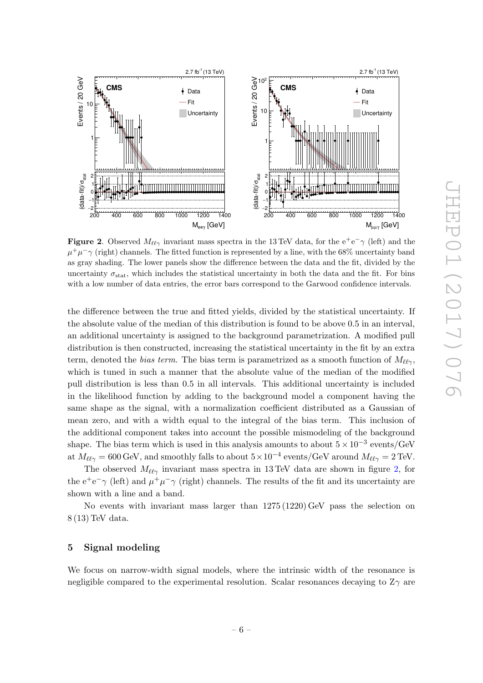

<span id="page-6-1"></span>Figure 2. Observed  $M_{\ell\ell\gamma}$  invariant mass spectra in the 13 TeV data, for the e<sup>+</sup>e<sup>-</sup> $\gamma$  (left) and the  $\mu^+\mu^-\gamma$  (right) channels. The fitted function is represented by a line, with the 68% uncertainty band as gray shading. The lower panels show the difference between the data and the fit, divided by the uncertainty  $\sigma_{\text{stat}}$ , which includes the statistical uncertainty in both the data and the fit. For bins with a low number of data entries, the error bars correspond to the Garwood confidence intervals.

the difference between the true and fitted yields, divided by the statistical uncertainty. If the absolute value of the median of this distribution is found to be above 0.5 in an interval, an additional uncertainty is assigned to the background parametrization. A modified pull distribution is then constructed, increasing the statistical uncertainty in the fit by an extra term, denoted the bias term. The bias term is parametrized as a smooth function of  $M_{\ell\ell\gamma}$ , which is tuned in such a manner that the absolute value of the median of the modified pull distribution is less than 0.5 in all intervals. This additional uncertainty is included in the likelihood function by adding to the background model a component having the same shape as the signal, with a normalization coefficient distributed as a Gaussian of mean zero, and with a width equal to the integral of the bias term. This inclusion of the additional component takes into account the possible mismodeling of the background shape. The bias term which is used in this analysis amounts to about  $5 \times 10^{-3}$  events/GeV at  $M_{\ell\ell\gamma} = 600\,\text{GeV}$ , and smoothly falls to about  $5\times10^{-4}$  events/GeV around  $M_{\ell\ell\gamma} = 2\,\text{TeV}$ .

The observed  $M_{\ell\ell\gamma}$  invariant mass spectra in 13 TeV data are shown in figure [2,](#page-6-1) for the  $e^+e^-\gamma$  (left) and  $\mu^+\mu^-\gamma$  (right) channels. The results of the fit and its uncertainty are shown with a line and a band.

No events with invariant mass larger than 1275 (1220) GeV pass the selection on 8 (13) TeV data.

### <span id="page-6-0"></span>5 Signal modeling

We focus on narrow-width signal models, where the intrinsic width of the resonance is negligible compared to the experimental resolution. Scalar resonances decaying to  $Z_{\gamma}$  are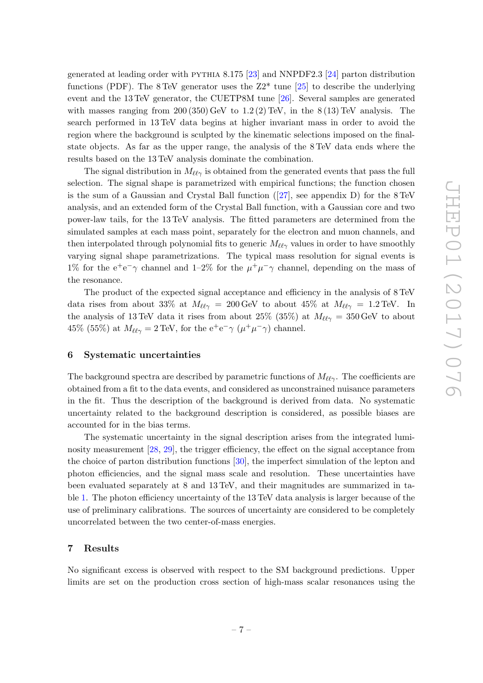generated at leading order with pythia 8.175 [\[23\]](#page-12-10) and NNPDF2.3 [\[24\]](#page-12-11) parton distribution functions (PDF). The  $8 \text{ TeV}$  generator uses the  $Z2^*$  tune  $[25]$  to describe the underlying event and the 13 TeV generator, the CUETP8M tune [\[26\]](#page-12-13). Several samples are generated with masses ranging from  $200(350)$  GeV to  $1.2(2)$  TeV, in the  $8(13)$  TeV analysis. The search performed in 13 TeV data begins at higher invariant mass in order to avoid the region where the background is sculpted by the kinematic selections imposed on the finalstate objects. As far as the upper range, the analysis of the 8 TeV data ends where the results based on the 13 TeV analysis dominate the combination.

The signal distribution in  $M_{\ell\ell\gamma}$  is obtained from the generated events that pass the full selection. The signal shape is parametrized with empirical functions; the function chosen is the sum of a Gaussian and Crystal Ball function  $(27)$ , see appendix D) for the 8 TeV analysis, and an extended form of the Crystal Ball function, with a Gaussian core and two power-law tails, for the 13 TeV analysis. The fitted parameters are determined from the simulated samples at each mass point, separately for the electron and muon channels, and then interpolated through polynomial fits to generic  $M_{\ell\ell\gamma}$  values in order to have smoothly varying signal shape parametrizations. The typical mass resolution for signal events is 1% for the  $e^+e^-\gamma$  channel and 1-2% for the  $\mu^+\mu^-\gamma$  channel, depending on the mass of the resonance.

The product of the expected signal acceptance and efficiency in the analysis of 8 TeV data rises from about 33% at  $M_{\ell\ell\gamma} = 200$  GeV to about 45% at  $M_{\ell\ell\gamma} = 1.2$  TeV. In the analysis of 13 TeV data it rises from about 25% (35%) at  $M_{\ell\ell\gamma} = 350$  GeV to about 45% (55%) at  $M_{\ell\ell\gamma} = 2 \text{ TeV}$ , for the  $e^+e^- \gamma (\mu^+\mu^- \gamma)$  channel.

### <span id="page-7-0"></span>6 Systematic uncertainties

The background spectra are described by parametric functions of  $M_{\ell\ell\gamma}$ . The coefficients are obtained from a fit to the data events, and considered as unconstrained nuisance parameters in the fit. Thus the description of the background is derived from data. No systematic uncertainty related to the background description is considered, as possible biases are accounted for in the bias terms.

The systematic uncertainty in the signal description arises from the integrated luminosity measurement [\[28,](#page-12-15) [29\]](#page-12-16), the trigger efficiency, the effect on the signal acceptance from the choice of parton distribution functions [\[30\]](#page-12-17), the imperfect simulation of the lepton and photon efficiencies, and the signal mass scale and resolution. These uncertainties have been evaluated separately at 8 and 13 TeV, and their magnitudes are summarized in table [1.](#page-8-0) The photon efficiency uncertainty of the 13 TeV data analysis is larger because of the use of preliminary calibrations. The sources of uncertainty are considered to be completely uncorrelated between the two center-of-mass energies.

### <span id="page-7-1"></span>7 Results

No significant excess is observed with respect to the SM background predictions. Upper limits are set on the production cross section of high-mass scalar resonances using the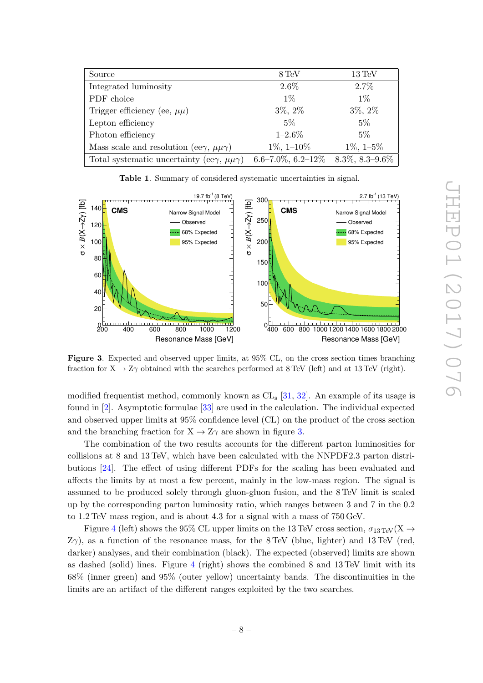| Source                                                       | $8 \,\mathrm{TeV}$                         | $13 \,\text{TeV}$ |
|--------------------------------------------------------------|--------------------------------------------|-------------------|
| Integrated luminosity                                        | $2.6\%$                                    | 2.7%              |
| PDF choice                                                   | $1\%$                                      | $1\%$             |
| Trigger efficiency (ee, $\mu\mu$ )                           | $3\%, 2\%$                                 | $3\%, 2\%$        |
| Lepton efficiency                                            | $5\%$                                      | $5\%$             |
| Photon efficiency                                            | $1 - 2.6\%$                                | $5\%$             |
| Mass scale and resolution (ee $\gamma$ , $\mu\mu\gamma$ )    | $1\%, 1\negthinspace-\negthinspace10\%$    | $1\%, 1-5\%$      |
| Total systematic uncertainty (ee $\gamma$ , $\mu\mu\gamma$ ) | $6.6 - 7.0\%, 6.2 - 12\%$ 8.3\%, 8.3-9.6\% |                   |

<span id="page-8-0"></span>Table 1. Summary of considered systematic uncertainties in signal.



<span id="page-8-1"></span>Figure 3. Expected and observed upper limits, at 95% CL, on the cross section times branching fraction for  $X \to Z\gamma$  obtained with the searches performed at 8 TeV (left) and at 13 TeV (right).

modified frequentist method, commonly known as  $CL_s$  [\[31,](#page-12-18) [32\]](#page-13-0). An example of its usage is found in [\[2\]](#page-11-10). Asymptotic formulae [\[33\]](#page-13-1) are used in the calculation. The individual expected and observed upper limits at 95% confidence level (CL) on the product of the cross section and the branching fraction for  $X \rightarrow Z\gamma$  are shown in figure [3.](#page-8-1)

The combination of the two results accounts for the different parton luminosities for collisions at 8 and 13 TeV, which have been calculated with the NNPDF2.3 parton distributions [\[24\]](#page-12-11). The effect of using different PDFs for the scaling has been evaluated and affects the limits by at most a few percent, mainly in the low-mass region. The signal is assumed to be produced solely through gluon-gluon fusion, and the 8 TeV limit is scaled up by the corresponding parton luminosity ratio, which ranges between 3 and 7 in the 0.2 to 1.2 TeV mass region, and is about 4.3 for a signal with a mass of 750 GeV.

Figure [4](#page-9-0) (left) shows the 95% CL upper limits on the 13 TeV cross section,  $\sigma_{13 \text{ TeV}}(X \rightarrow$  $Z\gamma$ ), as a function of the resonance mass, for the 8 TeV (blue, lighter) and 13 TeV (red, darker) analyses, and their combination (black). The expected (observed) limits are shown as dashed (solid) lines. Figure [4](#page-9-0) (right) shows the combined 8 and 13 TeV limit with its 68% (inner green) and 95% (outer yellow) uncertainty bands. The discontinuities in the limits are an artifact of the different ranges exploited by the two searches.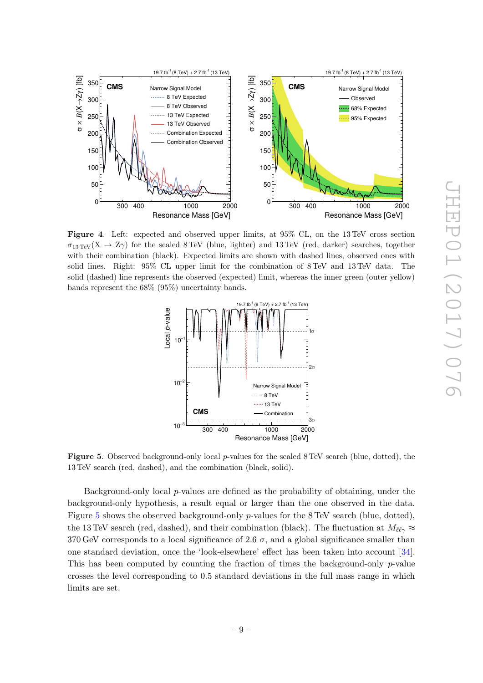

<span id="page-9-0"></span>Figure 4. Left: expected and observed upper limits, at 95% CL, on the 13 TeV cross section  $\sigma_{13 \text{TeV}}(X \to Z\gamma)$  for the scaled 8 TeV (blue, lighter) and 13 TeV (red, darker) searches, together with their combination (black). Expected limits are shown with dashed lines, observed ones with solid lines. Right: 95% CL upper limit for the combination of 8 TeV and 13 TeV data. The solid (dashed) line represents the observed (expected) limit, whereas the inner green (outer yellow) bands represent the 68% (95%) uncertainty bands.



<span id="page-9-1"></span>Figure 5. Observed background-only local p-values for the scaled 8 TeV search (blue, dotted), the 13 TeV search (red, dashed), and the combination (black, solid).

Background-only local p-values are defined as the probability of obtaining, under the background-only hypothesis, a result equal or larger than the one observed in the data. Figure [5](#page-9-1) shows the observed background-only p-values for the 8 TeV search (blue, dotted), the 13 TeV search (red, dashed), and their combination (black). The fluctuation at  $M_{\ell\ell\gamma} \approx$ 370 GeV corresponds to a local significance of 2.6  $\sigma$ , and a global significance smaller than one standard deviation, once the 'look-elsewhere' effect has been taken into account [\[34\]](#page-13-2). This has been computed by counting the fraction of times the background-only  $p$ -value crosses the level corresponding to 0.5 standard deviations in the full mass range in which limits are set.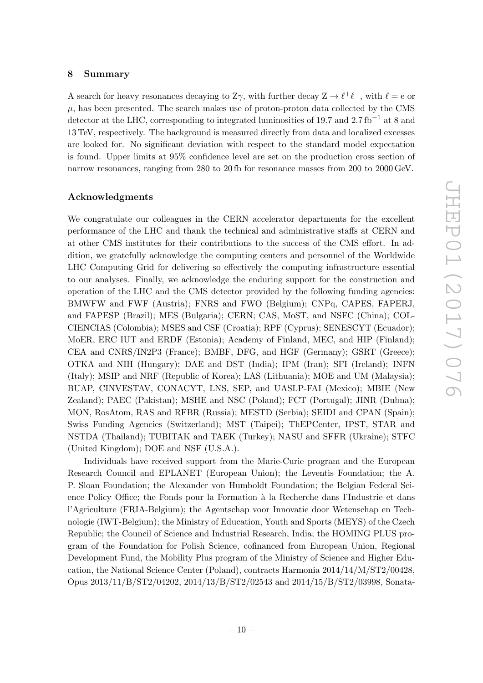### <span id="page-10-0"></span>8 Summary

A search for heavy resonances decaying to  $Z_{\gamma}$ , with further decay  $Z \to \ell^+ \ell^-$ , with  $\ell = e$  or  $\mu$ , has been presented. The search makes use of proton-proton data collected by the CMS detector at the LHC, corresponding to integrated luminosities of 19.7 and 2.7 fb<sup>-1</sup> at 8 and 13 TeV, respectively. The background is measured directly from data and localized excesses are looked for. No significant deviation with respect to the standard model expectation is found. Upper limits at 95% confidence level are set on the production cross section of narrow resonances, ranging from 280 to 20 fb for resonance masses from 200 to 2000 GeV.

### Acknowledgments

We congratulate our colleagues in the CERN accelerator departments for the excellent performance of the LHC and thank the technical and administrative staffs at CERN and at other CMS institutes for their contributions to the success of the CMS effort. In addition, we gratefully acknowledge the computing centers and personnel of the Worldwide LHC Computing Grid for delivering so effectively the computing infrastructure essential to our analyses. Finally, we acknowledge the enduring support for the construction and operation of the LHC and the CMS detector provided by the following funding agencies: BMWFW and FWF (Austria); FNRS and FWO (Belgium); CNPq, CAPES, FAPERJ, and FAPESP (Brazil); MES (Bulgaria); CERN; CAS, MoST, and NSFC (China); COL-CIENCIAS (Colombia); MSES and CSF (Croatia); RPF (Cyprus); SENESCYT (Ecuador); MoER, ERC IUT and ERDF (Estonia); Academy of Finland, MEC, and HIP (Finland); CEA and CNRS/IN2P3 (France); BMBF, DFG, and HGF (Germany); GSRT (Greece); OTKA and NIH (Hungary); DAE and DST (India); IPM (Iran); SFI (Ireland); INFN (Italy); MSIP and NRF (Republic of Korea); LAS (Lithuania); MOE and UM (Malaysia); BUAP, CINVESTAV, CONACYT, LNS, SEP, and UASLP-FAI (Mexico); MBIE (New Zealand); PAEC (Pakistan); MSHE and NSC (Poland); FCT (Portugal); JINR (Dubna); MON, RosAtom, RAS and RFBR (Russia); MESTD (Serbia); SEIDI and CPAN (Spain); Swiss Funding Agencies (Switzerland); MST (Taipei); ThEPCenter, IPST, STAR and NSTDA (Thailand); TUBITAK and TAEK (Turkey); NASU and SFFR (Ukraine); STFC (United Kingdom); DOE and NSF (U.S.A.).

Individuals have received support from the Marie-Curie program and the European Research Council and EPLANET (European Union); the Leventis Foundation; the A. P. Sloan Foundation; the Alexander von Humboldt Foundation; the Belgian Federal Science Policy Office; the Fonds pour la Formation à la Recherche dans l'Industrie et dans l'Agriculture (FRIA-Belgium); the Agentschap voor Innovatie door Wetenschap en Technologie (IWT-Belgium); the Ministry of Education, Youth and Sports (MEYS) of the Czech Republic; the Council of Science and Industrial Research, India; the HOMING PLUS program of the Foundation for Polish Science, cofinanced from European Union, Regional Development Fund, the Mobility Plus program of the Ministry of Science and Higher Education, the National Science Center (Poland), contracts Harmonia 2014/14/M/ST2/00428, Opus 2013/11/B/ST2/04202, 2014/13/B/ST2/02543 and 2014/15/B/ST2/03998, Sonata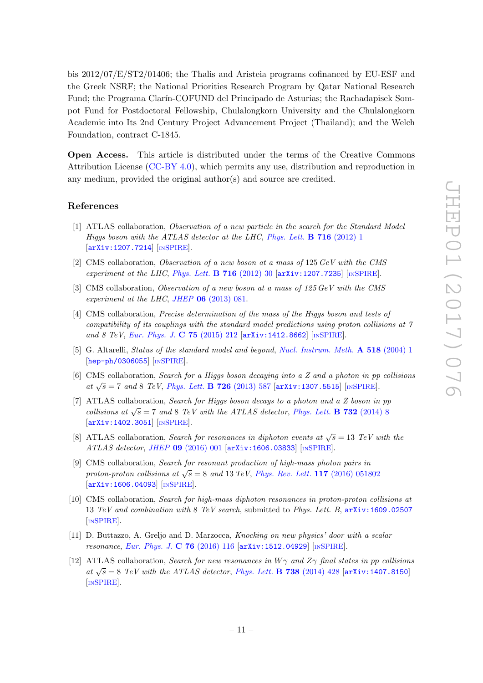bis 2012/07/E/ST2/01406; the Thalis and Aristeia programs cofinanced by EU-ESF and the Greek NSRF; the National Priorities Research Program by Qatar National Research Fund; the Programa Clarín-COFUND del Principado de Asturias; the Rachadapisek Sompot Fund for Postdoctoral Fellowship, Chulalongkorn University and the Chulalongkorn Academic into Its 2nd Century Project Advancement Project (Thailand); and the Welch Foundation, contract C-1845.

Open Access. This article is distributed under the terms of the Creative Commons Attribution License [\(CC-BY 4.0\)](http://creativecommons.org/licenses/by/4.0/), which permits any use, distribution and reproduction in any medium, provided the original author(s) and source are credited.

### References

- <span id="page-11-0"></span>[1] ATLAS collaboration, Observation of a new particle in the search for the Standard Model Higgs boson with the ATLAS detector at the LHC, [Phys. Lett.](http://dx.doi.org/10.1016/j.physletb.2012.08.020)  $\bf{B}$  716 (2012) 1 [[arXiv:1207.7214](https://arxiv.org/abs/1207.7214)] [IN[SPIRE](http://inspirehep.net/search?p=find+EPRINT+arXiv:1207.7214)].
- <span id="page-11-10"></span>[2] CMS collaboration, Observation of a new boson at a mass of 125 GeV with the CMS experiment at the LHC, [Phys. Lett.](http://dx.doi.org/10.1016/j.physletb.2012.08.021) **B** 716 (2012) 30  $\left[$ [arXiv:1207.7235](https://arxiv.org/abs/1207.7235) $\right]$  [IN[SPIRE](http://inspirehep.net/search?p=find+EPRINT+arXiv:1207.7235)].
- <span id="page-11-1"></span>[3] CMS collaboration, Observation of a new boson at a mass of 125 GeV with the CMS experiment at the LHC, JHEP  $06$  [\(2013\) 081.](http://dx.doi.org/10.1007/JHEP06(2013)081)
- <span id="page-11-2"></span>[4] CMS collaboration, Precise determination of the mass of the Higgs boson and tests of compatibility of its couplings with the standard model predictions using proton collisions at 7 and 8 TeV, [Eur. Phys. J.](http://dx.doi.org/10.1140/epjc/s10052-015-3351-7) C 75 (2015) 212 [[arXiv:1412.8662](https://arxiv.org/abs/1412.8662)] [IN[SPIRE](http://inspirehep.net/search?p=find+EPRINT+arXiv:1412.8662)].
- <span id="page-11-3"></span>[5] G. Altarelli, Status of the standard model and beyond, [Nucl. Instrum. Meth.](http://dx.doi.org/10.1016/j.nima.2003.10.009) A 518 (2004) 1 [[hep-ph/0306055](https://arxiv.org/abs/hep-ph/0306055)] [IN[SPIRE](http://inspirehep.net/search?p=find+EPRINT+hep-ph/0306055)].
- <span id="page-11-4"></span>[6] CMS collaboration, Search for a Higgs boson decaying into a Z and a photon in pp collisions at  $\sqrt{s}$  = 7 and 8 TeV, [Phys. Lett.](http://dx.doi.org/10.1016/j.physletb.2013.09.057) **B 726** (2013) 587 [[arXiv:1307.5515](https://arxiv.org/abs/1307.5515)] [IN[SPIRE](http://inspirehep.net/search?p=find+EPRINT+arXiv:1307.5515)].
- <span id="page-11-5"></span>[7] ATLAS collaboration, Search for Higgs boson decays to a photon and a Z boson in pp collisions at  $\sqrt{s}$  = 7 and 8 TeV with the ATLAS detector, [Phys. Lett.](http://dx.doi.org/10.1016/j.physletb.2014.03.015) **B 732** (2014) 8 [[arXiv:1402.3051](https://arxiv.org/abs/1402.3051)] [IN[SPIRE](http://inspirehep.net/search?p=find+EPRINT+arXiv:1402.3051)].
- <span id="page-11-6"></span>[8] ATLAS collaboration, Search for resonances in diphoton events at  $\sqrt{s} = 13$  TeV with the ATLAS detector, JHEP 09 [\(2016\) 001](http://dx.doi.org/10.1007/JHEP09(2016)001) [[arXiv:1606.03833](https://arxiv.org/abs/1606.03833)] [IN[SPIRE](http://inspirehep.net/search?p=find+EPRINT+arXiv:1606.03833)].
- [9] CMS collaboration, Search for resonant production of high-mass photon pairs in proton-proton collisions at  $\sqrt{s} = 8$  and 13 TeV, [Phys. Rev. Lett.](http://dx.doi.org/10.1103/PhysRevLett.117.051802) 117 (2016) 051802 [[arXiv:1606.04093](https://arxiv.org/abs/1606.04093)] [IN[SPIRE](http://inspirehep.net/search?p=find+EPRINT+arXiv:1606.04093)].
- <span id="page-11-7"></span>[10] CMS collaboration, Search for high-mass diphoton resonances in proton-proton collisions at 13 TeV and combination with 8 TeV search, submitted to Phys. Lett. B, [arXiv:1609.02507](https://arxiv.org/abs/1609.02507) [IN[SPIRE](http://inspirehep.net/search?p=find+EPRINT+arXiv:1609.02507)].
- <span id="page-11-8"></span>[11] D. Buttazzo, A. Greljo and D. Marzocca, Knocking on new physics' door with a scalar resonance, [Eur. Phys. J.](http://dx.doi.org/10.1140/epjc/s10052-016-3970-7) C 76 (2016) 116 [[arXiv:1512.04929](https://arxiv.org/abs/1512.04929)] [IN[SPIRE](http://inspirehep.net/search?p=find+EPRINT+arXiv:1512.04929)].
- <span id="page-11-9"></span>[12] ATLAS collaboration, Search for new resonances in  $W\gamma$  and  $Z\gamma$  final states in pp collisions at  $\sqrt{s} = 8$  TeV with the ATLAS detector, [Phys. Lett.](http://dx.doi.org/10.1016/j.physletb.2014.10.002) **B** 738 (2014) 428 [[arXiv:1407.8150](https://arxiv.org/abs/1407.8150)] [IN[SPIRE](http://inspirehep.net/search?p=find+EPRINT+arXiv:1407.8150)].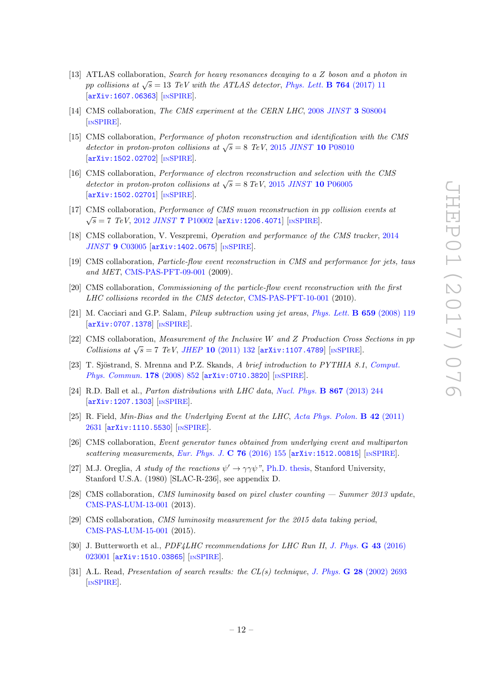- <span id="page-12-0"></span>[13] ATLAS collaboration, Search for heavy resonances decaying to a Z boson and a photon in pp collisions at  $\sqrt{s} = 13$  TeV with the ATLAS detector, [Phys. Lett.](http://dx.doi.org/10.1016/j.physletb.2016.11.005) **B** 764 (2017) 11 [[arXiv:1607.06363](https://arxiv.org/abs/1607.06363)] [IN[SPIRE](http://inspirehep.net/search?p=find+EPRINT+arXiv:1607.06363)].
- <span id="page-12-1"></span>[14] CMS collaboration, The CMS experiment at the CERN LHC, 2008 JINST 3 [S08004](http://dx.doi.org/10.1088/1748-0221/3/08/S08004) [IN[SPIRE](http://inspirehep.net/search?p=find+J+%22JINST,3,S08004%22)].
- <span id="page-12-2"></span>[15] CMS collaboration, Performance of photon reconstruction and identification with the CMS  $\alpha$  detector in proton-proton collisions at  $\sqrt{s} = 8$  TeV, 2015 JINST 10 [P08010](http://dx.doi.org/10.1088/1748-0221/10/08/P08010) [[arXiv:1502.02702](https://arxiv.org/abs/1502.02702)] [IN[SPIRE](http://inspirehep.net/search?p=find+EPRINT+arXiv:1502.02702)].
- <span id="page-12-9"></span>[16] CMS collaboration, Performance of electron reconstruction and selection with the CMS detector in proton-proton collisions at  $\sqrt{s} = 8 \text{ TeV}$ , 2015 JINST 10 [P06005](http://dx.doi.org/10.1088/1748-0221/10/06/P06005) [[arXiv:1502.02701](https://arxiv.org/abs/1502.02701)] [IN[SPIRE](http://inspirehep.net/search?p=find+EPRINT+arXiv:1502.02701)].
- <span id="page-12-3"></span>[17] CMS collaboration, Performance of CMS muon reconstruction in pp collision events at √  $\sqrt{s} = 7$  TeV, 2012 JINST 7 [P10002](http://dx.doi.org/10.1088/1748-0221/7/10/P10002) [[arXiv:1206.4071](https://arxiv.org/abs/1206.4071)] [IN[SPIRE](http://inspirehep.net/search?p=find+EPRINT+arXiv:1206.4071)].
- <span id="page-12-4"></span>[18] CMS collaboration, V. Veszpremi, Operation and performance of the CMS tracker, [2014](http://dx.doi.org/10.1088/1748-0221/9/03/C03005) JINST 9 [C03005](http://dx.doi.org/10.1088/1748-0221/9/03/C03005) [[arXiv:1402.0675](https://arxiv.org/abs/1402.0675)] [IN[SPIRE](http://inspirehep.net/search?p=find+EPRINT+arXiv:1402.0675)].
- <span id="page-12-5"></span>[19] CMS collaboration, Particle-flow event reconstruction in CMS and performance for jets, taus and MET, [CMS-PAS-PFT-09-001](http://cds.cern.ch/record/1194487) (2009).
- <span id="page-12-6"></span>[20] CMS collaboration, Commissioning of the particle-flow event reconstruction with the first LHC collisions recorded in the CMS detector, [CMS-PAS-PFT-10-001](http://cds.cern.ch/record/1247373) (2010).
- <span id="page-12-7"></span>[21] M. Cacciari and G.P. Salam, Pileup subtraction using jet areas, [Phys. Lett.](http://dx.doi.org/10.1016/j.physletb.2007.09.077) B 659 (2008) 119 [[arXiv:0707.1378](https://arxiv.org/abs/0707.1378)] [IN[SPIRE](http://inspirehep.net/search?p=find+EPRINT+arXiv:0707.1378)].
- <span id="page-12-8"></span>[22] CMS collaboration, Measurement of the Inclusive W and Z Production Cross Sections in pp Collisions at  $\sqrt{s}$  = 7 TeV, JHEP 10 [\(2011\) 132](http://dx.doi.org/10.1007/JHEP10(2011)132) [[arXiv:1107.4789](https://arxiv.org/abs/1107.4789)] [IN[SPIRE](http://inspirehep.net/search?p=find+EPRINT+arXiv:1107.4789)].
- <span id="page-12-10"></span>[23] T. Sjöstrand, S. Mrenna and P.Z. Skands, A brief introduction to PYTHIA 8.1, [Comput.](http://dx.doi.org/10.1016/j.cpc.2008.01.036) [Phys. Commun.](http://dx.doi.org/10.1016/j.cpc.2008.01.036) 178 (2008) 852 [[arXiv:0710.3820](https://arxiv.org/abs/0710.3820)] [IN[SPIRE](http://inspirehep.net/search?p=find+EPRINT+arXiv:0710.3820)].
- <span id="page-12-11"></span>[24] R.D. Ball et al., Parton distributions with LHC data, [Nucl. Phys.](http://dx.doi.org/10.1016/j.nuclphysb.2012.10.003) B 867 (2013) 244 [[arXiv:1207.1303](https://arxiv.org/abs/1207.1303)] [IN[SPIRE](http://inspirehep.net/search?p=find+EPRINT+arXiv:1207.1303)].
- <span id="page-12-12"></span>[25] R. Field, Min-Bias and the Underlying Event at the LHC, [Acta Phys. Polon.](http://dx.doi.org/10.5506/APhysPolB.42.2631) B 42 (2011) [2631](http://dx.doi.org/10.5506/APhysPolB.42.2631) [[arXiv:1110.5530](https://arxiv.org/abs/1110.5530)] [IN[SPIRE](http://inspirehep.net/search?p=find+EPRINT+arXiv:1110.5530)].
- <span id="page-12-13"></span>[26] CMS collaboration, Event generator tunes obtained from underlying event and multiparton scattering measurements, [Eur. Phys. J.](http://dx.doi.org/10.1140/epjc/s10052-016-3988-x) C  $76$  (2016) 155 [[arXiv:1512.00815](https://arxiv.org/abs/1512.00815)] [IN[SPIRE](http://inspirehep.net/search?p=find+EPRINT+arXiv:1512.00815)].
- <span id="page-12-14"></span>[27] M.J. Oreglia, A study of the reactions  $\psi' \to \gamma \gamma \psi$ ", [Ph.D. thesis,](http://www.slac.stanford.edu/pubs/slacreports/slac-r-236.html) Stanford University, Stanford U.S.A. (1980) [SLAC-R-236], see appendix D.
- <span id="page-12-15"></span>[28] CMS collaboration, CMS luminosity based on pixel cluster counting — Summer 2013 update, [CMS-PAS-LUM-13-001](http://cds.cern.ch/record/1598864) (2013).
- <span id="page-12-16"></span>[29] CMS collaboration, CMS luminosity measurement for the 2015 data taking period, [CMS-PAS-LUM-15-001](http://cds.cern.ch/record/2138682) (2015).
- <span id="page-12-17"></span>[30] J. Butterworth et al., *PDF4LHC recommendations for LHC Run II, [J. Phys.](http://dx.doi.org/10.1088/0954-3899/43/2/023001)* **G 43** (2016) [023001](http://dx.doi.org/10.1088/0954-3899/43/2/023001) [[arXiv:1510.03865](https://arxiv.org/abs/1510.03865)] [IN[SPIRE](http://inspirehep.net/search?p=find+EPRINT+arXiv:1510.03865)].
- <span id="page-12-18"></span>[31] A.L. Read, Presentation of search results: the  $CL(s)$  technique, J. Phys. **G 28** [\(2002\) 2693](http://dx.doi.org/10.1088/0954-3899/28/10/313) [IN[SPIRE](http://inspirehep.net/search?p=find+J+%22J.Phys.,G28,2693%22)].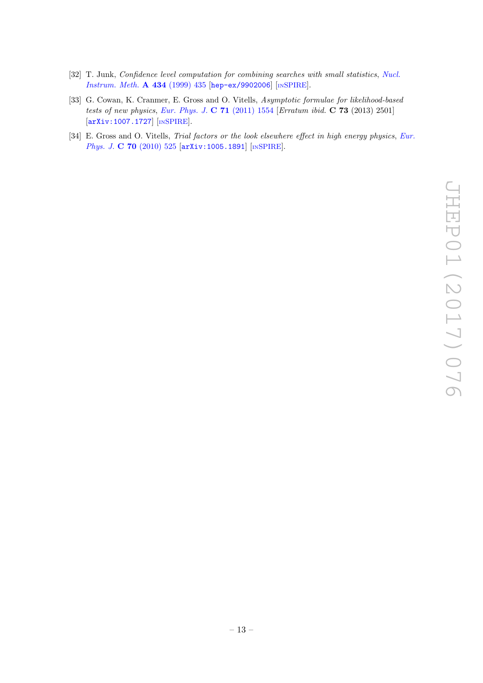- <span id="page-13-0"></span>[32] T. Junk, Confidence level computation for combining searches with small statistics, [Nucl.](http://dx.doi.org/10.1016/S0168-9002(99)00498-2) [Instrum. Meth.](http://dx.doi.org/10.1016/S0168-9002(99)00498-2) A 434 (1999) 435 [[hep-ex/9902006](https://arxiv.org/abs/hep-ex/9902006)] [IN[SPIRE](http://inspirehep.net/search?p=find+EPRINT+hep-ex/9902006)].
- <span id="page-13-1"></span>[33] G. Cowan, K. Cranmer, E. Gross and O. Vitells, Asymptotic formulae for likelihood-based tests of new physics, [Eur. Phys. J.](http://dx.doi.org/10.1140/epjc/s10052-011-1554-0) C 71 (2011) 1554 [Erratum ibid. C 73 (2013) 2501] [[arXiv:1007.1727](https://arxiv.org/abs/1007.1727)] [IN[SPIRE](http://inspirehep.net/search?p=find+EPRINT+arXiv:1007.1727)].
- <span id="page-13-2"></span>[34] E. Gross and O. Vitells, Trial factors or the look elsewhere effect in high energy physics, [Eur.](http://dx.doi.org/10.1140/epjc/s10052-010-1470-8) Phys. J. C 70 [\(2010\) 525](http://dx.doi.org/10.1140/epjc/s10052-010-1470-8) [[arXiv:1005.1891](https://arxiv.org/abs/1005.1891)] [IN[SPIRE](http://inspirehep.net/search?p=find+EPRINT+arXiv:1005.1891)].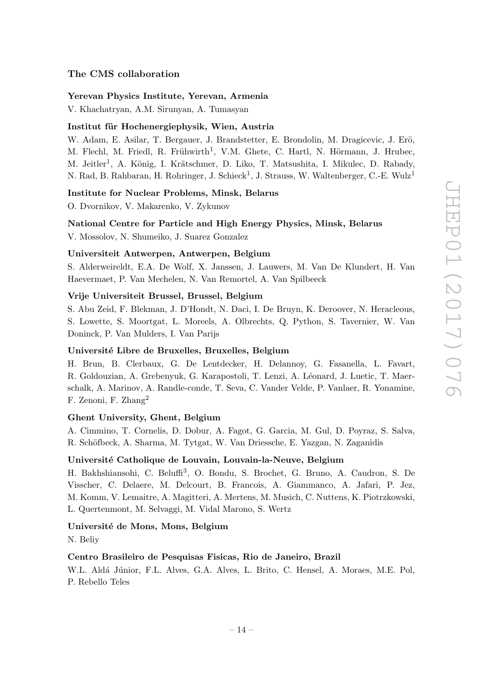### The CMS collaboration

### <span id="page-14-0"></span>Yerevan Physics Institute, Yerevan, Armenia

V. Khachatryan, A.M. Sirunyan, A. Tumasyan

#### Institut für Hochenergiephysik, Wien, Austria

W. Adam, E. Asilar, T. Bergauer, J. Brandstetter, E. Brondolin, M. Dragicevic, J. Erö, M. Flechl, M. Friedl, R. Frühwirth<sup>1</sup>, V.M. Ghete, C. Hartl, N. Hörmann, J. Hrubec, M. Jeitler<sup>1</sup>, A. König, I. Krätschmer, D. Liko, T. Matsushita, I. Mikulec, D. Rabady, N. Rad, B. Rahbaran, H. Rohringer, J. Schieck<sup>1</sup>, J. Strauss, W. Waltenberger, C.-E. Wulz<sup>1</sup>

#### Institute for Nuclear Problems, Minsk, Belarus

O. Dvornikov, V. Makarenko, V. Zykunov

#### National Centre for Particle and High Energy Physics, Minsk, Belarus

V. Mossolov, N. Shumeiko, J. Suarez Gonzalez

### Universiteit Antwerpen, Antwerpen, Belgium

S. Alderweireldt, E.A. De Wolf, X. Janssen, J. Lauwers, M. Van De Klundert, H. Van Haevermaet, P. Van Mechelen, N. Van Remortel, A. Van Spilbeeck

### Vrije Universiteit Brussel, Brussel, Belgium

S. Abu Zeid, F. Blekman, J. D'Hondt, N. Daci, I. De Bruyn, K. Deroover, N. Heracleous, S. Lowette, S. Moortgat, L. Moreels, A. Olbrechts, Q. Python, S. Tavernier, W. Van Doninck, P. Van Mulders, I. Van Parijs

### Universit´e Libre de Bruxelles, Bruxelles, Belgium

H. Brun, B. Clerbaux, G. De Lentdecker, H. Delannoy, G. Fasanella, L. Favart, R. Goldouzian, A. Grebenyuk, G. Karapostoli, T. Lenzi, A. Léonard, J. Luetic, T. Maerschalk, A. Marinov, A. Randle-conde, T. Seva, C. Vander Velde, P. Vanlaer, R. Yonamine, F. Zenoni, F. Zhang<sup>2</sup>

### Ghent University, Ghent, Belgium

A. Cimmino, T. Cornelis, D. Dobur, A. Fagot, G. Garcia, M. Gul, D. Poyraz, S. Salva, R. Schöfbeck, A. Sharma, M. Tytgat, W. Van Driessche, E. Yazgan, N. Zaganidis

### Université Catholique de Louvain, Louvain-la-Neuve, Belgium

H. Bakhshiansohi, C. Beluffi<sup>3</sup> , O. Bondu, S. Brochet, G. Bruno, A. Caudron, S. De Visscher, C. Delaere, M. Delcourt, B. Francois, A. Giammanco, A. Jafari, P. Jez, M. Komm, V. Lemaitre, A. Magitteri, A. Mertens, M. Musich, C. Nuttens, K. Piotrzkowski, L. Quertenmont, M. Selvaggi, M. Vidal Marono, S. Wertz

### Université de Mons, Mons, Belgium

N. Beliy

### Centro Brasileiro de Pesquisas Fisicas, Rio de Janeiro, Brazil

W.L. Aldá Júnior, F.L. Alves, G.A. Alves, L. Brito, C. Hensel, A. Moraes, M.E. Pol, P. Rebello Teles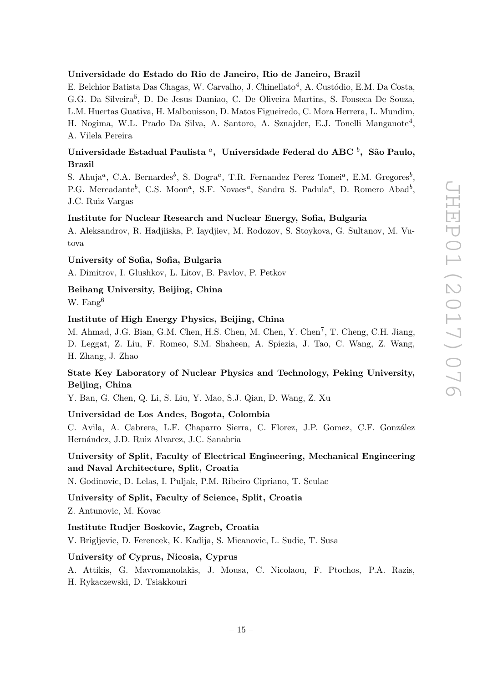### Universidade do Estado do Rio de Janeiro, Rio de Janeiro, Brazil

E. Belchior Batista Das Chagas, W. Carvalho, J. Chinellato<sup>4</sup>, A. Custódio, E.M. Da Costa, G.G. Da Silveira<sup>5</sup>, D. De Jesus Damiao, C. De Oliveira Martins, S. Fonseca De Souza, L.M. Huertas Guativa, H. Malbouisson, D. Matos Figueiredo, C. Mora Herrera, L. Mundim, H. Nogima, W.L. Prado Da Silva, A. Santoro, A. Sznajder, E.J. Tonelli Manganote<sup>4</sup>, A. Vilela Pereira

# Universidade Estadual Paulista <sup>a</sup>, Universidade Federal do ABC  $^b$ , São Paulo, Brazil

S. Ahuja<sup>a</sup>, C.A. Bernardes<sup>b</sup>, S. Dogra<sup>a</sup>, T.R. Fernandez Perez Tomei<sup>a</sup>, E.M. Gregores<sup>b</sup>, P.G. Mercadante<sup>b</sup>, C.S. Moon<sup>a</sup>, S.F. Novaes<sup>a</sup>, Sandra S. Padula<sup>a</sup>, D. Romero Abad<sup>b</sup>, J.C. Ruiz Vargas

### Institute for Nuclear Research and Nuclear Energy, Sofia, Bulgaria

A. Aleksandrov, R. Hadjiiska, P. Iaydjiev, M. Rodozov, S. Stoykova, G. Sultanov, M. Vutova

#### University of Sofia, Sofia, Bulgaria

A. Dimitrov, I. Glushkov, L. Litov, B. Pavlov, P. Petkov

# Beihang University, Beijing, China

W. Fang<sup>6</sup>

### Institute of High Energy Physics, Beijing, China

M. Ahmad, J.G. Bian, G.M. Chen, H.S. Chen, M. Chen, Y. Chen<sup>7</sup>, T. Cheng, C.H. Jiang, D. Leggat, Z. Liu, F. Romeo, S.M. Shaheen, A. Spiezia, J. Tao, C. Wang, Z. Wang, H. Zhang, J. Zhao

# State Key Laboratory of Nuclear Physics and Technology, Peking University, Beijing, China

Y. Ban, G. Chen, Q. Li, S. Liu, Y. Mao, S.J. Qian, D. Wang, Z. Xu

### Universidad de Los Andes, Bogota, Colombia

C. Avila, A. Cabrera, L.F. Chaparro Sierra, C. Florez, J.P. Gomez, C.F. González Hernández, J.D. Ruiz Alvarez, J.C. Sanabria

# University of Split, Faculty of Electrical Engineering, Mechanical Engineering and Naval Architecture, Split, Croatia

N. Godinovic, D. Lelas, I. Puljak, P.M. Ribeiro Cipriano, T. Sculac

#### University of Split, Faculty of Science, Split, Croatia

Z. Antunovic, M. Kovac

Institute Rudjer Boskovic, Zagreb, Croatia

V. Brigljevic, D. Ferencek, K. Kadija, S. Micanovic, L. Sudic, T. Susa

#### University of Cyprus, Nicosia, Cyprus

A. Attikis, G. Mavromanolakis, J. Mousa, C. Nicolaou, F. Ptochos, P.A. Razis, H. Rykaczewski, D. Tsiakkouri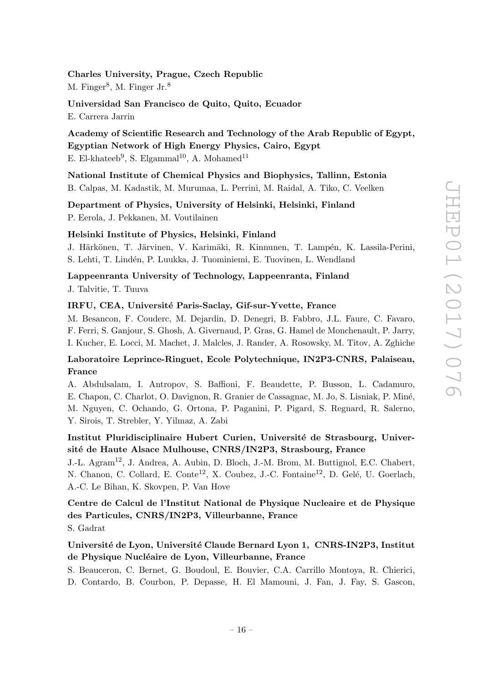### Charles University, Prague, Czech Republic

M. Finger<sup>8</sup>, M. Finger  $Jr.^8$ 

Universidad San Francisco de Quito, Quito, Ecuador E. Carrera Jarrin

# Academy of Scientific Research and Technology of the Arab Republic of Egypt, Egyptian Network of High Energy Physics, Cairo, Egypt E. El-khateeb<sup>9</sup>, S. Elgammal<sup>10</sup>, A. Mohamed<sup>11</sup>

National Institute of Chemical Physics and Biophysics, Tallinn, Estonia B. Calpas, M. Kadastik, M. Murumaa, L. Perrini, M. Raidal, A. Tiko, C. Veelken

Department of Physics, University of Helsinki, Helsinki, Finland

P. Eerola, J. Pekkanen, M. Voutilainen

### Helsinki Institute of Physics, Helsinki, Finland

J. Härkönen, T. Järvinen, V. Karimäki, R. Kinnunen, T. Lampén, K. Lassila-Perini, S. Lehti, T. Lind´en, P. Luukka, J. Tuominiemi, E. Tuovinen, L. Wendland

Lappeenranta University of Technology, Lappeenranta, Finland J. Talvitie, T. Tuuva

### IRFU, CEA, Université Paris-Saclay, Gif-sur-Yvette, France

M. Besancon, F. Couderc, M. Dejardin, D. Denegri, B. Fabbro, J.L. Faure, C. Favaro, F. Ferri, S. Ganjour, S. Ghosh, A. Givernaud, P. Gras, G. Hamel de Monchenault, P. Jarry, I. Kucher, E. Locci, M. Machet, J. Malcles, J. Rander, A. Rosowsky, M. Titov, A. Zghiche

# Laboratoire Leprince-Ringuet, Ecole Polytechnique, IN2P3-CNRS, Palaiseau, France

A. Abdulsalam, I. Antropov, S. Baffioni, F. Beaudette, P. Busson, L. Cadamuro, E. Chapon, C. Charlot, O. Davignon, R. Granier de Cassagnac, M. Jo, S. Lisniak, P. Miné, M. Nguyen, C. Ochando, G. Ortona, P. Paganini, P. Pigard, S. Regnard, R. Salerno, Y. Sirois, T. Strebler, Y. Yilmaz, A. Zabi

# Institut Pluridisciplinaire Hubert Curien, Université de Strasbourg, Université de Haute Alsace Mulhouse, CNRS/IN2P3, Strasbourg, France

J.-L. Agram12, J. Andrea, A. Aubin, D. Bloch, J.-M. Brom, M. Buttignol, E.C. Chabert, N. Chanon, C. Collard, E. Conte<sup>12</sup>, X. Coubez, J.-C. Fontaine<sup>12</sup>, D. Gelé, U. Goerlach, A.-C. Le Bihan, K. Skovpen, P. Van Hove

Centre de Calcul de l'Institut National de Physique Nucleaire et de Physique des Particules, CNRS/IN2P3, Villeurbanne, France S. Gadrat

# Université de Lyon, Université Claude Bernard Lyon 1, CNRS-IN2P3, Institut de Physique Nucléaire de Lyon, Villeurbanne, France

S. Beauceron, C. Bernet, G. Boudoul, E. Bouvier, C.A. Carrillo Montoya, R. Chierici, D. Contardo, B. Courbon, P. Depasse, H. El Mamouni, J. Fan, J. Fay, S. Gascon,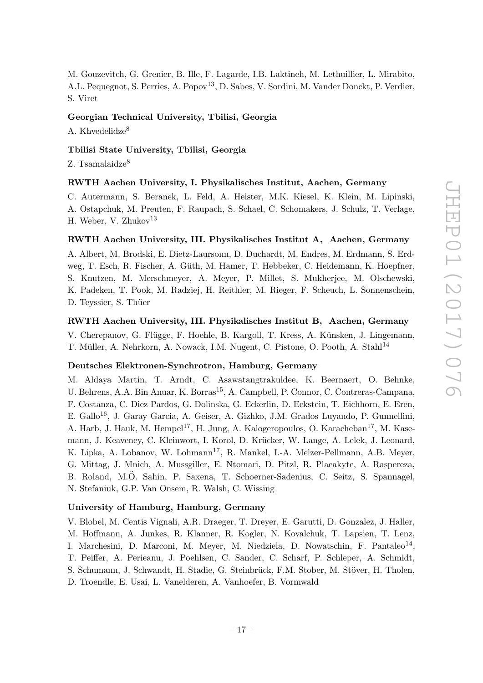M. Gouzevitch, G. Grenier, B. Ille, F. Lagarde, I.B. Laktineh, M. Lethuillier, L. Mirabito, A.L. Pequegnot, S. Perries, A. Popov<sup>13</sup>, D. Sabes, V. Sordini, M. Vander Donckt, P. Verdier, S. Viret

### Georgian Technical University, Tbilisi, Georgia

A. Khvedelidze<sup>8</sup>

### Tbilisi State University, Tbilisi, Georgia

Z. Tsamalaidze<sup>8</sup>

### RWTH Aachen University, I. Physikalisches Institut, Aachen, Germany

C. Autermann, S. Beranek, L. Feld, A. Heister, M.K. Kiesel, K. Klein, M. Lipinski, A. Ostapchuk, M. Preuten, F. Raupach, S. Schael, C. Schomakers, J. Schulz, T. Verlage, H. Weber, V. Zhukov<sup>13</sup>

### RWTH Aachen University, III. Physikalisches Institut A, Aachen, Germany

A. Albert, M. Brodski, E. Dietz-Laursonn, D. Duchardt, M. Endres, M. Erdmann, S. Erdweg, T. Esch, R. Fischer, A. Güth, M. Hamer, T. Hebbeker, C. Heidemann, K. Hoepfner, S. Knutzen, M. Merschmeyer, A. Meyer, P. Millet, S. Mukherjee, M. Olschewski, K. Padeken, T. Pook, M. Radziej, H. Reithler, M. Rieger, F. Scheuch, L. Sonnenschein, D. Teyssier, S. Thüer

#### RWTH Aachen University, III. Physikalisches Institut B, Aachen, Germany

V. Cherepanov, G. Flügge, F. Hoehle, B. Kargoll, T. Kress, A. Künsken, J. Lingemann, T. Müller, A. Nehrkorn, A. Nowack, I.M. Nugent, C. Pistone, O. Pooth, A. Stahl<sup>14</sup>

### Deutsches Elektronen-Synchrotron, Hamburg, Germany

M. Aldaya Martin, T. Arndt, C. Asawatangtrakuldee, K. Beernaert, O. Behnke, U. Behrens, A.A. Bin Anuar, K. Borras<sup>15</sup>, A. Campbell, P. Connor, C. Contreras-Campana, F. Costanza, C. Diez Pardos, G. Dolinska, G. Eckerlin, D. Eckstein, T. Eichhorn, E. Eren, E. Gallo<sup>16</sup>, J. Garay Garcia, A. Geiser, A. Gizhko, J.M. Grados Luyando, P. Gunnellini, A. Harb, J. Hauk, M. Hempel<sup>17</sup>, H. Jung, A. Kalogeropoulos, O. Karacheban<sup>17</sup>, M. Kasemann, J. Keaveney, C. Kleinwort, I. Korol, D. Krücker, W. Lange, A. Lelek, J. Leonard, K. Lipka, A. Lobanov, W. Lohmann<sup>17</sup>, R. Mankel, I.-A. Melzer-Pellmann, A.B. Meyer, G. Mittag, J. Mnich, A. Mussgiller, E. Ntomari, D. Pitzl, R. Placakyte, A. Raspereza, B. Roland, M.O. Sahin, P. Saxena, T. Schoerner-Sadenius, C. Seitz, S. Spannagel, ¨ N. Stefaniuk, G.P. Van Onsem, R. Walsh, C. Wissing

### University of Hamburg, Hamburg, Germany

V. Blobel, M. Centis Vignali, A.R. Draeger, T. Dreyer, E. Garutti, D. Gonzalez, J. Haller, M. Hoffmann, A. Junkes, R. Klanner, R. Kogler, N. Kovalchuk, T. Lapsien, T. Lenz, I. Marchesini, D. Marconi, M. Meyer, M. Niedziela, D. Nowatschin, F. Pantaleo<sup>14</sup>, T. Peiffer, A. Perieanu, J. Poehlsen, C. Sander, C. Scharf, P. Schleper, A. Schmidt, S. Schumann, J. Schwandt, H. Stadie, G. Steinbrück, F.M. Stober, M. Stöver, H. Tholen, D. Troendle, E. Usai, L. Vanelderen, A. Vanhoefer, B. Vormwald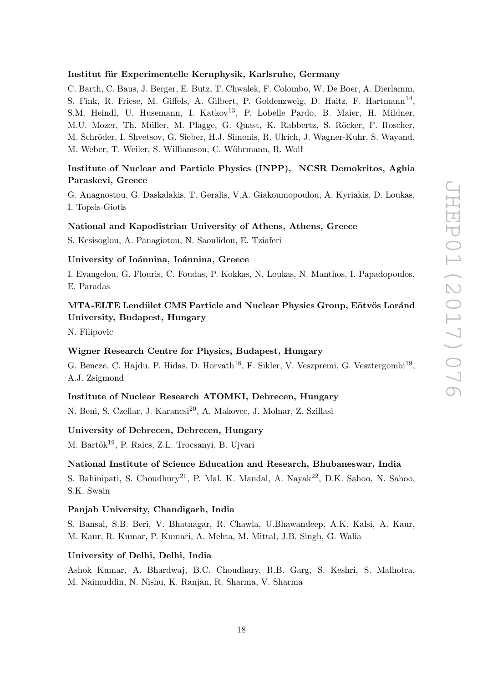### Institut für Experimentelle Kernphysik, Karlsruhe, Germany

C. Barth, C. Baus, J. Berger, E. Butz, T. Chwalek, F. Colombo, W. De Boer, A. Dierlamm, S. Fink, R. Friese, M. Giffels, A. Gilbert, P. Goldenzweig, D. Haitz, F. Hartmann<sup>14</sup>, S.M. Heindl, U. Husemann, I. Katkov<sup>13</sup>, P. Lobelle Pardo, B. Maier, H. Mildner, M.U. Mozer, Th. Müller, M. Plagge, G. Quast, K. Rabbertz, S. Röcker, F. Roscher, M. Schröder, I. Shvetsov, G. Sieber, H.J. Simonis, R. Ulrich, J. Wagner-Kuhr, S. Wayand, M. Weber, T. Weiler, S. Williamson, C. Wöhrmann, R. Wolf

# Institute of Nuclear and Particle Physics (INPP), NCSR Demokritos, Aghia Paraskevi, Greece

G. Anagnostou, G. Daskalakis, T. Geralis, V.A. Giakoumopoulou, A. Kyriakis, D. Loukas, I. Topsis-Giotis

### National and Kapodistrian University of Athens, Athens, Greece

S. Kesisoglou, A. Panagiotou, N. Saoulidou, E. Tziaferi

#### University of Ioánnina, Ioánnina, Greece

I. Evangelou, G. Flouris, C. Foudas, P. Kokkas, N. Loukas, N. Manthos, I. Papadopoulos, E. Paradas

# MTA-ELTE Lendület CMS Particle and Nuclear Physics Group, Eötvös Loránd University, Budapest, Hungary

N. Filipovic

### Wigner Research Centre for Physics, Budapest, Hungary

G. Bencze, C. Hajdu, P. Hidas, D. Horvath<sup>18</sup>, F. Sikler, V. Veszpremi, G. Vesztergombi<sup>19</sup>, A.J. Zsigmond

# Institute of Nuclear Research ATOMKI, Debrecen, Hungary

N. Beni, S. Czellar, J. Karancsi<sup>20</sup>, A. Makovec, J. Molnar, Z. Szillasi

# University of Debrecen, Debrecen, Hungary

M. Bartók<sup>19</sup>, P. Raics, Z.L. Trocsanyi, B. Ujvari

#### National Institute of Science Education and Research, Bhubaneswar, India

S. Bahinipati, S. Choudhury<sup>21</sup>, P. Mal, K. Mandal, A. Nayak<sup>22</sup>, D.K. Sahoo, N. Sahoo, S.K. Swain

### Panjab University, Chandigarh, India

S. Bansal, S.B. Beri, V. Bhatnagar, R. Chawla, U.Bhawandeep, A.K. Kalsi, A. Kaur, M. Kaur, R. Kumar, P. Kumari, A. Mehta, M. Mittal, J.B. Singh, G. Walia

### University of Delhi, Delhi, India

Ashok Kumar, A. Bhardwaj, B.C. Choudhary, R.B. Garg, S. Keshri, S. Malhotra, M. Naimuddin, N. Nishu, K. Ranjan, R. Sharma, V. Sharma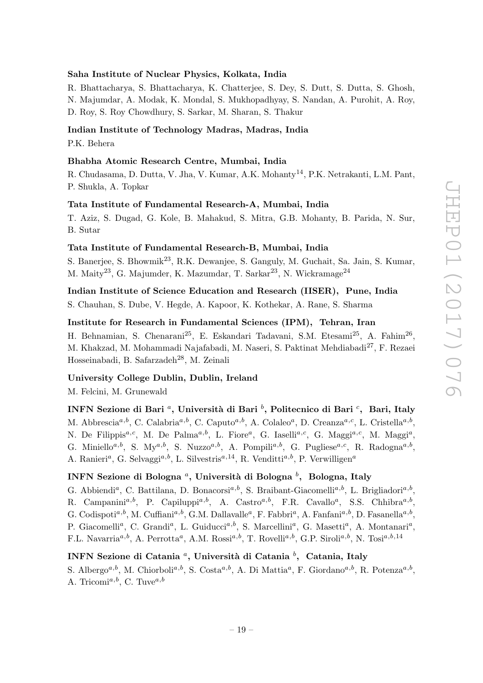### Saha Institute of Nuclear Physics, Kolkata, India

R. Bhattacharya, S. Bhattacharya, K. Chatterjee, S. Dey, S. Dutt, S. Dutta, S. Ghosh, N. Majumdar, A. Modak, K. Mondal, S. Mukhopadhyay, S. Nandan, A. Purohit, A. Roy, D. Roy, S. Roy Chowdhury, S. Sarkar, M. Sharan, S. Thakur

### Indian Institute of Technology Madras, Madras, India

P.K. Behera

#### Bhabha Atomic Research Centre, Mumbai, India

R. Chudasama, D. Dutta, V. Jha, V. Kumar, A.K. Mohanty14, P.K. Netrakanti, L.M. Pant, P. Shukla, A. Topkar

#### Tata Institute of Fundamental Research-A, Mumbai, India

T. Aziz, S. Dugad, G. Kole, B. Mahakud, S. Mitra, G.B. Mohanty, B. Parida, N. Sur, B. Sutar

### Tata Institute of Fundamental Research-B, Mumbai, India

S. Banerjee, S. Bhowmik23, R.K. Dewanjee, S. Ganguly, M. Guchait, Sa. Jain, S. Kumar, M. Maity<sup>23</sup>, G. Majumder, K. Mazumdar, T. Sarkar<sup>23</sup>, N. Wickramage<sup>24</sup>

### Indian Institute of Science Education and Research (IISER), Pune, India

S. Chauhan, S. Dube, V. Hegde, A. Kapoor, K. Kothekar, A. Rane, S. Sharma

### Institute for Research in Fundamental Sciences (IPM), Tehran, Iran

H. Behnamian, S. Chenarani<sup>25</sup>, E. Eskandari Tadavani, S.M. Etesami<sup>25</sup>, A. Fahim<sup>26</sup>, M. Khakzad, M. Mohammadi Najafabadi, M. Naseri, S. Paktinat Mehdiabadi<sup>27</sup>, F. Rezaei Hosseinabadi, B. Safarzadeh<sup>28</sup>, M. Zeinali

### University College Dublin, Dublin, Ireland

M. Felcini, M. Grunewald

INFN Sezione di Bari <sup>a</sup>, Università di Bari  $^b$ , Politecnico di Bari  $^c$ , Bari, Italy M. Abbrescia<sup>a,b</sup>, C. Calabria<sup>a,b</sup>, C. Caputo<sup>a,b</sup>, A. Colaleo<sup>a</sup>, D. Creanza<sup>a,c</sup>, L. Cristella<sup>a,b</sup>, N. De Filippis<sup>a,c</sup>, M. De Palma<sup>a,b</sup>, L. Fiore<sup>a</sup>, G. Iaselli<sup>a,c</sup>, G. Maggi<sup>a,c</sup>, M. Maggi<sup>a</sup>, G. Miniello<sup>a,b</sup>, S. My<sup>a,b</sup>, S. Nuzzo<sup>a,b</sup>, A. Pompili<sup>a,b</sup>, G. Pugliese<sup>a,c</sup>, R. Radogna<sup>a,b</sup>, A. Ranieri<sup>a</sup>, G. Selvaggi<sup>a,b</sup>, L. Silvestris<sup>a,14</sup>, R. Venditti<sup>a,b</sup>, P. Verwilligen<sup>a</sup>

# INFN Sezione di Bologna <sup>a</sup>, Università di Bologna  $^b$ , Bologna, Italy

G. Abbiendi<sup>a</sup>, C. Battilana, D. Bonacorsi<sup>a,b</sup>, S. Braibant-Giacomelli<sup>a,b</sup>, L. Brigliadori<sup>a,b</sup>, R. Campanini<sup>a,b</sup>, P. Capiluppi<sup>a,b</sup>, A. Castro<sup>a,b</sup>, F.R. Cavallo<sup>a</sup>, S.S. Chhibra<sup>a,b</sup>, G. Codispoti<sup>a,b</sup>, M. Cuffiani<sup>a,b</sup>, G.M. Dallavalle<sup>a</sup>, F. Fabbri<sup>a</sup>, A. Fanfani<sup>a,b</sup>, D. Fasanella<sup>a,b</sup>, P. Giacomelli<sup>a</sup>, C. Grandi<sup>a</sup>, L. Guiducci<sup>a,b</sup>, S. Marcellini<sup>a</sup>, G. Masetti<sup>a</sup>, A. Montanari<sup>a</sup>, F.L. Navarria<sup>a,b</sup>, A. Perrotta<sup>a</sup>, A.M. Rossi<sup>a,b</sup>, T. Rovelli<sup>a,b</sup>, G.P. Siroli<sup>a,b</sup>, N. Tosi<sup>a,b,14</sup>

# INFN Sezione di Catania <sup>a</sup>, Università di Catania  $^b$ , Catania, Italy

S. Albergo<sup>a,b</sup>, M. Chiorboli<sup>a,b</sup>, S. Costa<sup>a,b</sup>, A. Di Mattia<sup>a</sup>, F. Giordano<sup>a,b</sup>, R. Potenza<sup>a,b</sup>, A. Tricomi<sup>a,b</sup>, C. Tuve<sup>a,b</sup>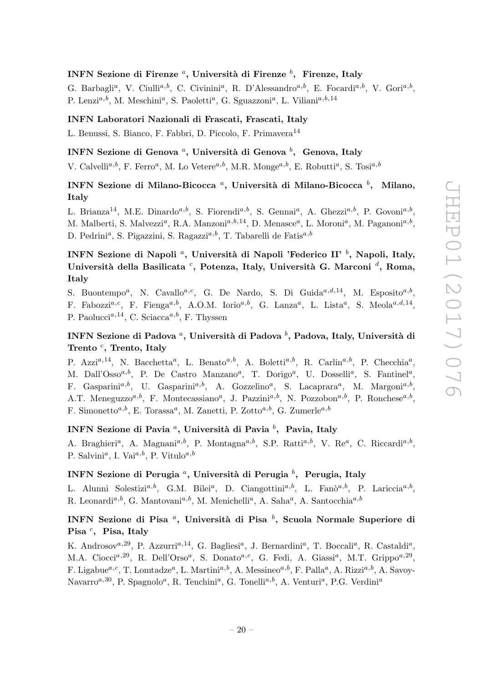# INFN Sezione di Firenze  $^a,$  Università di Firenze  $^b, \,$  Firenze, Italy

G. Barbagli<sup>a</sup>, V. Ciulli<sup>a,b</sup>, C. Civinini<sup>a</sup>, R. D'Alessandro<sup>a,b</sup>, E. Focardi<sup>a,b</sup>, V. Gori<sup>a,b</sup>, P. Lenzi<sup>a,b</sup>, M. Meschini<sup>a</sup>, S. Paoletti<sup>a</sup>, G. Sguazzoni<sup>a</sup>, L. Viliani<sup>a,b,14</sup>

### INFN Laboratori Nazionali di Frascati, Frascati, Italy

L. Benussi, S. Bianco, F. Fabbri, D. Piccolo, F. Primavera<sup>14</sup>

# INFN Sezione di Genova  $^a,$  Università di Genova  $^b, \,$  Genova, Italy

V. Calvelli<sup>a,b</sup>, F. Ferro<sup>a</sup>, M. Lo Vetere<sup>a,b</sup>, M.R. Monge<sup>a,b</sup>, E. Robutti<sup>a</sup>, S. Tosi<sup>a,b</sup>

# INFN Sezione di Milano-Bicocca <sup>a</sup>, Università di Milano-Bicocca <sup>b</sup>, Milano, Italy

L. Brianza<sup>14</sup>, M.E. Dinardo<sup>a,b</sup>, S. Fiorendi<sup>a,b</sup>, S. Gennai<sup>a</sup>, A. Ghezzi<sup>a,b</sup>, P. Govoni<sup>a,b</sup>, M. Malberti, S. Malvezzi<sup>a</sup>, R.A. Manzoni<sup>a,b,14</sup>, D. Menasce<sup>a</sup>, L. Moroni<sup>a</sup>, M. Paganoni<sup>a,b</sup>, D. Pedrini<sup>a</sup>, S. Pigazzini, S. Ragazzi<sup>a,b</sup>, T. Tabarelli de Fatis<sup>a,b</sup>

# INFN Sezione di Napoli <sup>a</sup>, Università di Napoli 'Federico II'  $^b$ , Napoli, Italy, Università della Basilicata  $^c$ , Potenza, Italy, Università G. Marconi  $^d$ , Roma, Italy

S. Buontempo<sup>a</sup>, N. Cavallo<sup>a,c</sup>, G. De Nardo, S. Di Guida<sup>a,d,14</sup>, M. Esposito<sup>a,b</sup>, F. Fabozzi<sup>a,c</sup>, F. Fienga<sup>a,b</sup>, A.O.M. Iorio<sup>a,b</sup>, G. Lanza<sup>a</sup>, L. Lista<sup>a</sup>, S. Meola<sup>a,d,14</sup>, P. Paolucci<sup>a, 14</sup>, C. Sciacca<sup>a, b</sup>, F. Thyssen

# INFN Sezione di Padova <sup>a</sup>, Università di Padova  $^b$ , Padova, Italy, Università di  $Trento<sup>c</sup>$ , Trento, Italy

P. Azzi<sup>a,14</sup>, N. Bacchetta<sup>a</sup>, L. Benato<sup>a,b</sup>, A. Boletti<sup>a,b</sup>, R. Carlin<sup>a,b</sup>, P. Checchia<sup>a</sup>, M. Dall'Osso<sup>a,b</sup>, P. De Castro Manzano<sup>a</sup>, T. Dorigo<sup>a</sup>, U. Dosselli<sup>a</sup>, S. Fantinel<sup>a</sup>, F. Gasparini<sup>a,b</sup>, U. Gasparini<sup>a,b</sup>, A. Gozzelino<sup>a</sup>, S. Lacaprara<sup>a</sup>, M. Margoni<sup>a,b</sup>, A.T. Meneguzzo<sup>a,b</sup>, F. Montecassiano<sup>a</sup>, J. Pazzini<sup>a,b</sup>, N. Pozzobon<sup>a,b</sup>, P. Ronchese<sup>a,b</sup>, F. Simonetto<sup>a,b</sup>, E. Torassa<sup>a</sup>, M. Zanetti, P. Zotto<sup>a,b</sup>, G. Zumerle<sup>a,b</sup>

# INFN Sezione di Pavia <sup>a</sup>, Università di Pavia  $^b$ , Pavia, Italy

A. Braghieri<sup>a</sup>, A. Magnani<sup>a,b</sup>, P. Montagna<sup>a,b</sup>, S.P. Ratti<sup>a,b</sup>, V. Re<sup>a</sup>, C. Riccardi<sup>a,b</sup>, P. Salvini<sup>a</sup>, I. Vai<sup> $a,b$ </sup>, P. Vitulo<sup> $a,b$ </sup>

# INFN Sezione di Perugia  $^a,$  Università di Perugia  $^b, \,$  Perugia, Italy

L. Alunni Solestizi<sup>a,b</sup>, G.M. Bilei<sup>a</sup>, D. Ciangottini<sup>a,b</sup>, L. Fanò<sup>a,b</sup>, P. Lariccia<sup>a,b</sup>, R. Leonardi<sup>a, b</sup>, G. Mantovani<sup>a, b</sup>, M. Menichelli<sup>a</sup>, A. Saha<sup>a</sup>, A. Santocchia<sup>a, b</sup>

# INFN Sezione di Pisa <sup>a</sup>, Università di Pisa <sup>b</sup>, Scuola Normale Superiore di Pisa<sup>c</sup>, Pisa, Italy

K. Androsov<sup>a, 29</sup>, P. Azzurri<sup>a, 14</sup>, G. Bagliesi<sup>a</sup>, J. Bernardini<sup>a</sup>, T. Boccali<sup>a</sup>, R. Castaldi<sup>a</sup>, M.A. Ciocci<sup>a,29</sup>, R. Dell'Orso<sup>a</sup>, S. Donato<sup>a,c</sup>, G. Fedi, A. Giassi<sup>a</sup>, M.T. Grippo<sup>a,29</sup>, F. Ligabue<sup>a, c</sup>, T. Lomtadze<sup>a</sup>, L. Martini<sup>a, b</sup>, A. Messineo<sup>a, b</sup>, F. Palla<sup>a</sup>, A. Rizzi<sup>a, b</sup>, A. Savoy-Navarro<sup>a, 30</sup>, P. Spagnolo<sup>a</sup>, R. Tenchini<sup>a</sup>, G. Tonelli<sup>a, b</sup>, A. Venturi<sup>a</sup>, P.G. Verdini<sup>a</sup>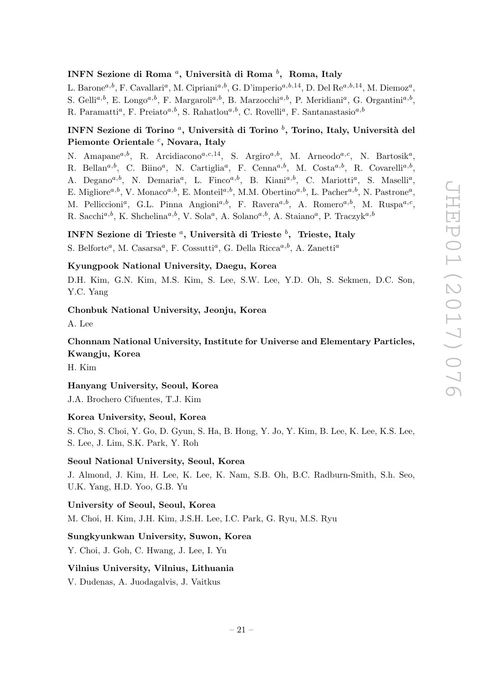# INFN Sezione di Roma  $^a,$  Università di Roma  $^b, \, \,$  Roma, Italy

L. Barone<sup>a, b</sup>, F. Cavallari<sup>a</sup>, M. Cipriani<sup>a, b</sup>, G. D'imperio<sup>a, b, 14</sup>, D. Del Re<sup>a, b, 14</sup>, M. Diemoz<sup>a</sup>, S. Gelli<sup>a,b</sup>, E. Longo<sup>a,b</sup>, F. Margaroli<sup>a,b</sup>, B. Marzocchi<sup>a,b</sup>, P. Meridiani<sup>a</sup>, G. Organtini<sup>a,b</sup>, R. Paramatti<sup>a</sup>, F. Preiato<sup>a,b</sup>, S. Rahatlou<sup>a,b</sup>, C. Rovelli<sup>a</sup>, F. Santanastasio<sup>a,b</sup>

# INFN Sezione di Torino <sup>a</sup>, Università di Torino  $^b,$  Torino, Italy, Università del Piemonte Orientale  $^c$ , Novara, Italy

N. Amapane<sup>a,b</sup>, R. Arcidiacono<sup>a,c,14</sup>, S. Argiro<sup>a,b</sup>, M. Arneodo<sup>a,c</sup>, N. Bartosik<sup>a</sup>, R. Bellan<sup>a,b</sup>, C. Biino<sup>a</sup>, N. Cartiglia<sup>a</sup>, F. Cenna<sup>a,b</sup>, M. Costa<sup>a,b</sup>, R. Covarelli<sup>a,b</sup>, A. Degano<sup>a,b</sup>, N. Demaria<sup>a</sup>, L. Finco<sup>a,b</sup>, B. Kiani<sup>a,b</sup>, C. Mariotti<sup>a</sup>, S. Maselli<sup>a</sup>, E. Migliore<sup>a,b</sup>, V. Monaco<sup>a,b</sup>, E. Monteil<sup>a,b</sup>, M.M. Obertino<sup>a,b</sup>, L. Pacher<sup>a,b</sup>, N. Pastrone<sup>a</sup>, M. Pelliccioni<sup>a</sup>, G.L. Pinna Angioni<sup>a,b</sup>, F. Ravera<sup>a,b</sup>, A. Romero<sup>a,b</sup>, M. Ruspa<sup>a,c</sup>, R. Sacchi<sup>a,b</sup>, K. Shchelina<sup>a,b</sup>, V. Sola<sup>a</sup>, A. Solano<sup>a,b</sup>, A. Staiano<sup>a</sup>, P. Traczyk<sup>a,b</sup>

# INFN Sezione di Trieste <sup>a</sup>, Università di Trieste  $^b$ , Trieste, Italy

S. Belforte<sup>a</sup>, M. Casarsa<sup>a</sup>, F. Cossutti<sup>a</sup>, G. Della Ricca<sup>a,b</sup>, A. Zanetti<sup>a</sup>

### Kyungpook National University, Daegu, Korea

D.H. Kim, G.N. Kim, M.S. Kim, S. Lee, S.W. Lee, Y.D. Oh, S. Sekmen, D.C. Son, Y.C. Yang

Chonbuk National University, Jeonju, Korea

A. Lee

# Chonnam National University, Institute for Universe and Elementary Particles, Kwangju, Korea

H. Kim

### Hanyang University, Seoul, Korea

J.A. Brochero Cifuentes, T.J. Kim

#### Korea University, Seoul, Korea

S. Cho, S. Choi, Y. Go, D. Gyun, S. Ha, B. Hong, Y. Jo, Y. Kim, B. Lee, K. Lee, K.S. Lee, S. Lee, J. Lim, S.K. Park, Y. Roh

#### Seoul National University, Seoul, Korea

J. Almond, J. Kim, H. Lee, K. Lee, K. Nam, S.B. Oh, B.C. Radburn-Smith, S.h. Seo, U.K. Yang, H.D. Yoo, G.B. Yu

### University of Seoul, Seoul, Korea

M. Choi, H. Kim, J.H. Kim, J.S.H. Lee, I.C. Park, G. Ryu, M.S. Ryu

#### Sungkyunkwan University, Suwon, Korea

Y. Choi, J. Goh, C. Hwang, J. Lee, I. Yu

### Vilnius University, Vilnius, Lithuania

V. Dudenas, A. Juodagalvis, J. Vaitkus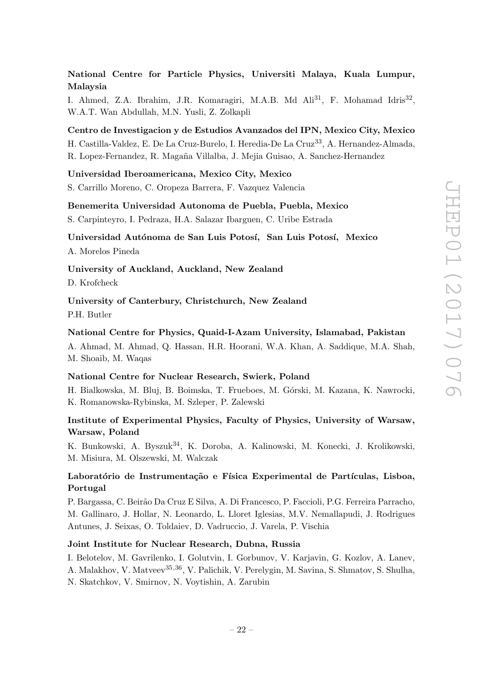# National Centre for Particle Physics, Universiti Malaya, Kuala Lumpur, Malaysia

I. Ahmed, Z.A. Ibrahim, J.R. Komaragiri, M.A.B. Md Ali<sup>31</sup>, F. Mohamad Idris<sup>32</sup>, W.A.T. Wan Abdullah, M.N. Yusli, Z. Zolkapli

Centro de Investigacion y de Estudios Avanzados del IPN, Mexico City, Mexico

H. Castilla-Valdez, E. De La Cruz-Burelo, I. Heredia-De La Cruz<sup>33</sup>, A. Hernandez-Almada, R. Lopez-Fernandez, R. Magaña Villalba, J. Mejia Guisao, A. Sanchez-Hernandez

### Universidad Iberoamericana, Mexico City, Mexico

S. Carrillo Moreno, C. Oropeza Barrera, F. Vazquez Valencia

#### Benemerita Universidad Autonoma de Puebla, Puebla, Mexico

S. Carpinteyro, I. Pedraza, H.A. Salazar Ibarguen, C. Uribe Estrada

### Universidad Autónoma de San Luis Potosí, San Luis Potosí, Mexico

A. Morelos Pineda

# University of Auckland, Auckland, New Zealand

D. Krofcheck

University of Canterbury, Christchurch, New Zealand P.H. Butler

### National Centre for Physics, Quaid-I-Azam University, Islamabad, Pakistan

A. Ahmad, M. Ahmad, Q. Hassan, H.R. Hoorani, W.A. Khan, A. Saddique, M.A. Shah, M. Shoaib, M. Waqas

### National Centre for Nuclear Research, Swierk, Poland

H. Bialkowska, M. Bluj, B. Boimska, T. Frueboes, M. G´orski, M. Kazana, K. Nawrocki, K. Romanowska-Rybinska, M. Szleper, P. Zalewski

# Institute of Experimental Physics, Faculty of Physics, University of Warsaw, Warsaw, Poland

K. Bunkowski, A. Byszuk<sup>34</sup>, K. Doroba, A. Kalinowski, M. Konecki, J. Krolikowski, M. Misiura, M. Olszewski, M. Walczak

# Laboratório de Instrumentação e Física Experimental de Partículas, Lisboa, Portugal

P. Bargassa, C. Beirão Da Cruz E Silva, A. Di Francesco, P. Faccioli, P.G. Ferreira Parracho, M. Gallinaro, J. Hollar, N. Leonardo, L. Lloret Iglesias, M.V. Nemallapudi, J. Rodrigues Antunes, J. Seixas, O. Toldaiev, D. Vadruccio, J. Varela, P. Vischia

### Joint Institute for Nuclear Research, Dubna, Russia

I. Belotelov, M. Gavrilenko, I. Golutvin, I. Gorbunov, V. Karjavin, G. Kozlov, A. Lanev, A. Malakhov, V. Matveev<sup>35,36</sup>, V. Palichik, V. Perelygin, M. Savina, S. Shmatov, S. Shulha, N. Skatchkov, V. Smirnov, N. Voytishin, A. Zarubin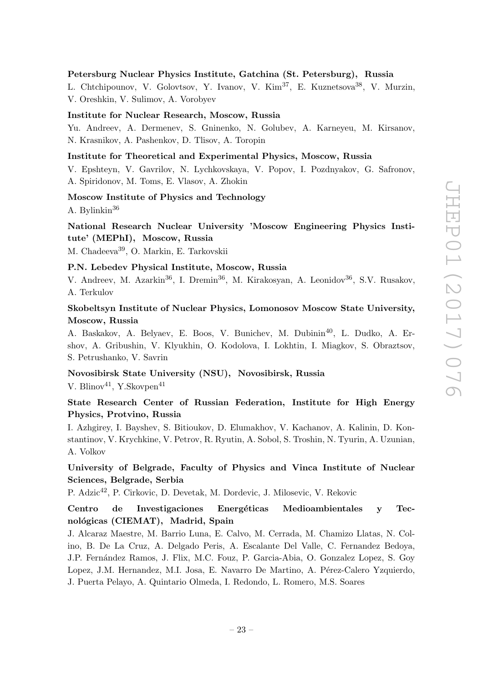### Petersburg Nuclear Physics Institute, Gatchina (St. Petersburg), Russia

L. Chtchipounov, V. Golovtsov, Y. Ivanov, V. Kim<sup>37</sup>, E. Kuznetsova<sup>38</sup>, V. Murzin, V. Oreshkin, V. Sulimov, A. Vorobyev

### Institute for Nuclear Research, Moscow, Russia

Yu. Andreev, A. Dermenev, S. Gninenko, N. Golubev, A. Karneyeu, M. Kirsanov, N. Krasnikov, A. Pashenkov, D. Tlisov, A. Toropin

### Institute for Theoretical and Experimental Physics, Moscow, Russia

V. Epshteyn, V. Gavrilov, N. Lychkovskaya, V. Popov, I. Pozdnyakov, G. Safronov, A. Spiridonov, M. Toms, E. Vlasov, A. Zhokin

### Moscow Institute of Physics and Technology

A. Bylinkin<sup>36</sup>

# National Research Nuclear University 'Moscow Engineering Physics Institute' (MEPhI), Moscow, Russia

M. Chadeeva39, O. Markin, E. Tarkovskii

# P.N. Lebedev Physical Institute, Moscow, Russia

V. Andreev, M. Azarkin<sup>36</sup>, I. Dremin<sup>36</sup>, M. Kirakosyan, A. Leonidov<sup>36</sup>, S.V. Rusakov, A. Terkulov

# Skobeltsyn Institute of Nuclear Physics, Lomonosov Moscow State University, Moscow, Russia

A. Baskakov, A. Belyaev, E. Boos, V. Bunichev, M. Dubinin<sup>40</sup>, L. Dudko, A. Ershov, A. Gribushin, V. Klyukhin, O. Kodolova, I. Lokhtin, I. Miagkov, S. Obraztsov, S. Petrushanko, V. Savrin

# Novosibirsk State University (NSU), Novosibirsk, Russia

V. Blinov<sup>41</sup>, Y.Skovpen<sup>41</sup>

# State Research Center of Russian Federation, Institute for High Energy Physics, Protvino, Russia

I. Azhgirey, I. Bayshev, S. Bitioukov, D. Elumakhov, V. Kachanov, A. Kalinin, D. Konstantinov, V. Krychkine, V. Petrov, R. Ryutin, A. Sobol, S. Troshin, N. Tyurin, A. Uzunian, A. Volkov

# University of Belgrade, Faculty of Physics and Vinca Institute of Nuclear Sciences, Belgrade, Serbia

P. Adzic<sup>42</sup>, P. Cirkovic, D. Devetak, M. Dordevic, J. Milosevic, V. Rekovic

# Centro de Investigaciones Energéticas Medioambientales y Tecnológicas (CIEMAT), Madrid, Spain

J. Alcaraz Maestre, M. Barrio Luna, E. Calvo, M. Cerrada, M. Chamizo Llatas, N. Colino, B. De La Cruz, A. Delgado Peris, A. Escalante Del Valle, C. Fernandez Bedoya, J.P. Fern´andez Ramos, J. Flix, M.C. Fouz, P. Garcia-Abia, O. Gonzalez Lopez, S. Goy Lopez, J.M. Hernandez, M.I. Josa, E. Navarro De Martino, A. Pérez-Calero Yzquierdo, J. Puerta Pelayo, A. Quintario Olmeda, I. Redondo, L. Romero, M.S. Soares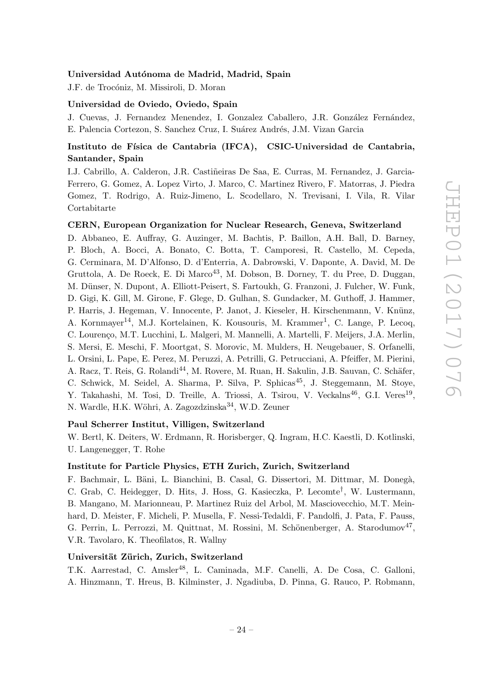### Universidad Autónoma de Madrid, Madrid, Spain

J.F. de Trocóniz, M. Missiroli, D. Moran

#### Universidad de Oviedo, Oviedo, Spain

J. Cuevas, J. Fernandez Menendez, I. Gonzalez Caballero, J.R. González Fernández, E. Palencia Cortezon, S. Sanchez Cruz, I. Suárez Andrés, J.M. Vizan Garcia

# Instituto de Física de Cantabria (IFCA), CSIC-Universidad de Cantabria, Santander, Spain

I.J. Cabrillo, A. Calderon, J.R. Castiñeiras De Saa, E. Curras, M. Fernandez, J. Garcia-Ferrero, G. Gomez, A. Lopez Virto, J. Marco, C. Martinez Rivero, F. Matorras, J. Piedra Gomez, T. Rodrigo, A. Ruiz-Jimeno, L. Scodellaro, N. Trevisani, I. Vila, R. Vilar Cortabitarte

### CERN, European Organization for Nuclear Research, Geneva, Switzerland

D. Abbaneo, E. Auffray, G. Auzinger, M. Bachtis, P. Baillon, A.H. Ball, D. Barney, P. Bloch, A. Bocci, A. Bonato, C. Botta, T. Camporesi, R. Castello, M. Cepeda, G. Cerminara, M. D'Alfonso, D. d'Enterria, A. Dabrowski, V. Daponte, A. David, M. De Gruttola, A. De Roeck, E. Di Marco<sup>43</sup>, M. Dobson, B. Dorney, T. du Pree, D. Duggan, M. Dünser, N. Dupont, A. Elliott-Peisert, S. Fartoukh, G. Franzoni, J. Fulcher, W. Funk, D. Gigi, K. Gill, M. Girone, F. Glege, D. Gulhan, S. Gundacker, M. Guthoff, J. Hammer, P. Harris, J. Hegeman, V. Innocente, P. Janot, J. Kieseler, H. Kirschenmann, V. Knünz, A. Kornmayer<sup>14</sup>, M.J. Kortelainen, K. Kousouris, M. Krammer<sup>1</sup>, C. Lange, P. Lecoq, C. Lourenço, M.T. Lucchini, L. Malgeri, M. Mannelli, A. Martelli, F. Meijers, J.A. Merlin, S. Mersi, E. Meschi, F. Moortgat, S. Morovic, M. Mulders, H. Neugebauer, S. Orfanelli, L. Orsini, L. Pape, E. Perez, M. Peruzzi, A. Petrilli, G. Petrucciani, A. Pfeiffer, M. Pierini, A. Racz, T. Reis, G. Rolandi<sup>44</sup>, M. Rovere, M. Ruan, H. Sakulin, J.B. Sauvan, C. Schäfer, C. Schwick, M. Seidel, A. Sharma, P. Silva, P. Sphicas<sup>45</sup>, J. Steggemann, M. Stoye, Y. Takahashi, M. Tosi, D. Treille, A. Triossi, A. Tsirou, V. Veckalns<sup>46</sup>, G.I. Veres<sup>19</sup>, N. Wardle, H.K. Wöhri, A. Zagozdzinska<sup>34</sup>, W.D. Zeuner

### Paul Scherrer Institut, Villigen, Switzerland

W. Bertl, K. Deiters, W. Erdmann, R. Horisberger, Q. Ingram, H.C. Kaestli, D. Kotlinski, U. Langenegger, T. Rohe

### Institute for Particle Physics, ETH Zurich, Zurich, Switzerland

F. Bachmair, L. Bäni, L. Bianchini, B. Casal, G. Dissertori, M. Dittmar, M. Donegà, C. Grab, C. Heidegger, D. Hits, J. Hoss, G. Kasieczka, P. Lecomte† , W. Lustermann, B. Mangano, M. Marionneau, P. Martinez Ruiz del Arbol, M. Masciovecchio, M.T. Meinhard, D. Meister, F. Micheli, P. Musella, F. Nessi-Tedaldi, F. Pandolfi, J. Pata, F. Pauss, G. Perrin, L. Perrozzi, M. Quittnat, M. Rossini, M. Schönenberger, A. Starodumov<sup>47</sup>, V.R. Tavolaro, K. Theofilatos, R. Wallny

### Universität Zürich, Zurich, Switzerland

T.K. Aarrestad, C. Amsler<sup>48</sup>, L. Caminada, M.F. Canelli, A. De Cosa, C. Galloni, A. Hinzmann, T. Hreus, B. Kilminster, J. Ngadiuba, D. Pinna, G. Rauco, P. Robmann,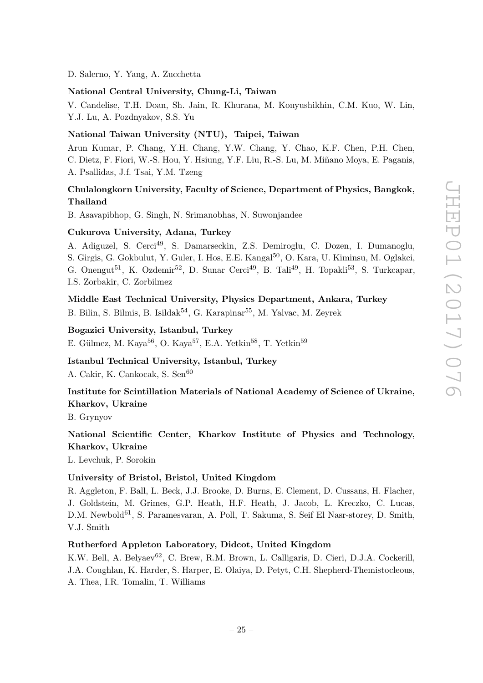D. Salerno, Y. Yang, A. Zucchetta

### National Central University, Chung-Li, Taiwan

V. Candelise, T.H. Doan, Sh. Jain, R. Khurana, M. Konyushikhin, C.M. Kuo, W. Lin, Y.J. Lu, A. Pozdnyakov, S.S. Yu

### National Taiwan University (NTU), Taipei, Taiwan

Arun Kumar, P. Chang, Y.H. Chang, Y.W. Chang, Y. Chao, K.F. Chen, P.H. Chen, C. Dietz, F. Fiori, W.-S. Hou, Y. Hsiung, Y.F. Liu, R.-S. Lu, M. Miñano Moya, E. Paganis, A. Psallidas, J.f. Tsai, Y.M. Tzeng

# Chulalongkorn University, Faculty of Science, Department of Physics, Bangkok, Thailand

B. Asavapibhop, G. Singh, N. Srimanobhas, N. Suwonjandee

### Cukurova University, Adana, Turkey

A. Adiguzel, S. Cerci<sup>49</sup>, S. Damarseckin, Z.S. Demiroglu, C. Dozen, I. Dumanoglu, S. Girgis, G. Gokbulut, Y. Guler, I. Hos, E.E. Kangal<sup>50</sup>, O. Kara, U. Kiminsu, M. Oglakci, G. Onengut<sup>51</sup>, K. Ozdemir<sup>52</sup>, D. Sunar Cerci<sup>49</sup>, B. Tali<sup>49</sup>, H. Topakli<sup>53</sup>, S. Turkcapar, I.S. Zorbakir, C. Zorbilmez

### Middle East Technical University, Physics Department, Ankara, Turkey

B. Bilin, S. Bilmis, B. Isildak<sup>54</sup>, G. Karapinar<sup>55</sup>, M. Yalvac, M. Zeyrek

### Bogazici University, Istanbul, Turkey

E. Gülmez, M. Kaya<sup>56</sup>, O. Kaya<sup>57</sup>, E.A. Yetkin<sup>58</sup>, T. Yetkin<sup>59</sup>

### Istanbul Technical University, Istanbul, Turkey

A. Cakir, K. Cankocak, S. Sen<sup>60</sup>

# Institute for Scintillation Materials of National Academy of Science of Ukraine, Kharkov, Ukraine

B. Grynyov

# National Scientific Center, Kharkov Institute of Physics and Technology, Kharkov, Ukraine

L. Levchuk, P. Sorokin

### University of Bristol, Bristol, United Kingdom

R. Aggleton, F. Ball, L. Beck, J.J. Brooke, D. Burns, E. Clement, D. Cussans, H. Flacher, J. Goldstein, M. Grimes, G.P. Heath, H.F. Heath, J. Jacob, L. Kreczko, C. Lucas, D.M. Newbold<sup>61</sup>, S. Paramesvaran, A. Poll, T. Sakuma, S. Seif El Nasr-storey, D. Smith, V.J. Smith

# Rutherford Appleton Laboratory, Didcot, United Kingdom

K.W. Bell, A. Belyaev<sup>62</sup>, C. Brew, R.M. Brown, L. Calligaris, D. Cieri, D.J.A. Cockerill, J.A. Coughlan, K. Harder, S. Harper, E. Olaiya, D. Petyt, C.H. Shepherd-Themistocleous, A. Thea, I.R. Tomalin, T. Williams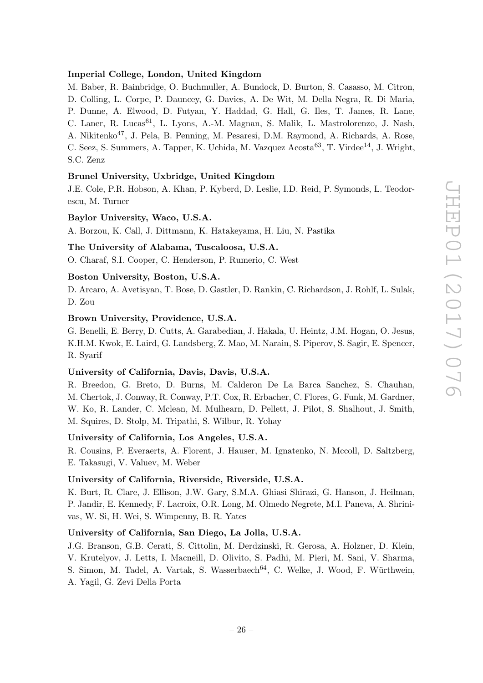### Imperial College, London, United Kingdom

M. Baber, R. Bainbridge, O. Buchmuller, A. Bundock, D. Burton, S. Casasso, M. Citron, D. Colling, L. Corpe, P. Dauncey, G. Davies, A. De Wit, M. Della Negra, R. Di Maria, P. Dunne, A. Elwood, D. Futyan, Y. Haddad, G. Hall, G. Iles, T. James, R. Lane, C. Laner, R. Lucas<sup>61</sup>, L. Lyons, A.-M. Magnan, S. Malik, L. Mastrolorenzo, J. Nash, A. Nikitenko<sup>47</sup>, J. Pela, B. Penning, M. Pesaresi, D.M. Raymond, A. Richards, A. Rose, C. Seez, S. Summers, A. Tapper, K. Uchida, M. Vazquez Acosta<sup>63</sup>, T. Virdee<sup>14</sup>, J. Wright, S.C. Zenz

#### Brunel University, Uxbridge, United Kingdom

J.E. Cole, P.R. Hobson, A. Khan, P. Kyberd, D. Leslie, I.D. Reid, P. Symonds, L. Teodorescu, M. Turner

### Baylor University, Waco, U.S.A.

A. Borzou, K. Call, J. Dittmann, K. Hatakeyama, H. Liu, N. Pastika

### The University of Alabama, Tuscaloosa, U.S.A.

O. Charaf, S.I. Cooper, C. Henderson, P. Rumerio, C. West

#### Boston University, Boston, U.S.A.

D. Arcaro, A. Avetisyan, T. Bose, D. Gastler, D. Rankin, C. Richardson, J. Rohlf, L. Sulak, D. Zou

#### Brown University, Providence, U.S.A.

G. Benelli, E. Berry, D. Cutts, A. Garabedian, J. Hakala, U. Heintz, J.M. Hogan, O. Jesus, K.H.M. Kwok, E. Laird, G. Landsberg, Z. Mao, M. Narain, S. Piperov, S. Sagir, E. Spencer, R. Syarif

### University of California, Davis, Davis, U.S.A.

R. Breedon, G. Breto, D. Burns, M. Calderon De La Barca Sanchez, S. Chauhan, M. Chertok, J. Conway, R. Conway, P.T. Cox, R. Erbacher, C. Flores, G. Funk, M. Gardner, W. Ko, R. Lander, C. Mclean, M. Mulhearn, D. Pellett, J. Pilot, S. Shalhout, J. Smith, M. Squires, D. Stolp, M. Tripathi, S. Wilbur, R. Yohay

### University of California, Los Angeles, U.S.A.

R. Cousins, P. Everaerts, A. Florent, J. Hauser, M. Ignatenko, N. Mccoll, D. Saltzberg, E. Takasugi, V. Valuev, M. Weber

### University of California, Riverside, Riverside, U.S.A.

K. Burt, R. Clare, J. Ellison, J.W. Gary, S.M.A. Ghiasi Shirazi, G. Hanson, J. Heilman, P. Jandir, E. Kennedy, F. Lacroix, O.R. Long, M. Olmedo Negrete, M.I. Paneva, A. Shrinivas, W. Si, H. Wei, S. Wimpenny, B. R. Yates

### University of California, San Diego, La Jolla, U.S.A.

J.G. Branson, G.B. Cerati, S. Cittolin, M. Derdzinski, R. Gerosa, A. Holzner, D. Klein, V. Krutelyov, J. Letts, I. Macneill, D. Olivito, S. Padhi, M. Pieri, M. Sani, V. Sharma, S. Simon, M. Tadel, A. Vartak, S. Wasserbaech<sup>64</sup>, C. Welke, J. Wood, F. Würthwein, A. Yagil, G. Zevi Della Porta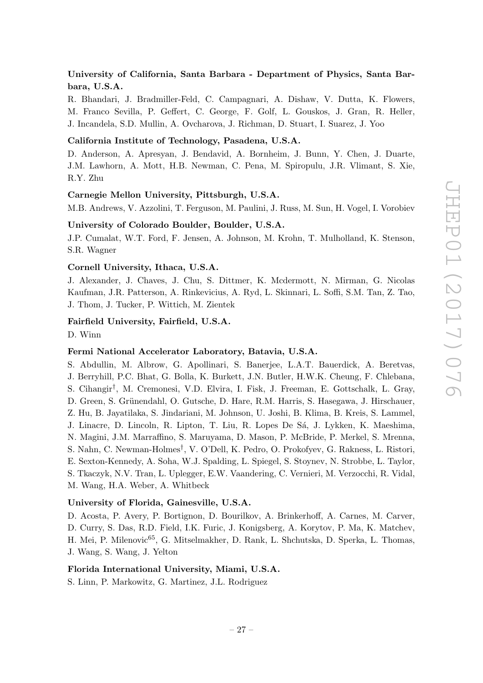# University of California, Santa Barbara - Department of Physics, Santa Barbara, U.S.A.

R. Bhandari, J. Bradmiller-Feld, C. Campagnari, A. Dishaw, V. Dutta, K. Flowers, M. Franco Sevilla, P. Geffert, C. George, F. Golf, L. Gouskos, J. Gran, R. Heller, J. Incandela, S.D. Mullin, A. Ovcharova, J. Richman, D. Stuart, I. Suarez, J. Yoo

### California Institute of Technology, Pasadena, U.S.A.

D. Anderson, A. Apresyan, J. Bendavid, A. Bornheim, J. Bunn, Y. Chen, J. Duarte, J.M. Lawhorn, A. Mott, H.B. Newman, C. Pena, M. Spiropulu, J.R. Vlimant, S. Xie, R.Y. Zhu

### Carnegie Mellon University, Pittsburgh, U.S.A.

M.B. Andrews, V. Azzolini, T. Ferguson, M. Paulini, J. Russ, M. Sun, H. Vogel, I. Vorobiev

### University of Colorado Boulder, Boulder, U.S.A.

J.P. Cumalat, W.T. Ford, F. Jensen, A. Johnson, M. Krohn, T. Mulholland, K. Stenson, S.R. Wagner

### Cornell University, Ithaca, U.S.A.

J. Alexander, J. Chaves, J. Chu, S. Dittmer, K. Mcdermott, N. Mirman, G. Nicolas Kaufman, J.R. Patterson, A. Rinkevicius, A. Ryd, L. Skinnari, L. Soffi, S.M. Tan, Z. Tao, J. Thom, J. Tucker, P. Wittich, M. Zientek

### Fairfield University, Fairfield, U.S.A.

D. Winn

### Fermi National Accelerator Laboratory, Batavia, U.S.A.

S. Abdullin, M. Albrow, G. Apollinari, S. Banerjee, L.A.T. Bauerdick, A. Beretvas, J. Berryhill, P.C. Bhat, G. Bolla, K. Burkett, J.N. Butler, H.W.K. Cheung, F. Chlebana, S. Cihangir† , M. Cremonesi, V.D. Elvira, I. Fisk, J. Freeman, E. Gottschalk, L. Gray, D. Green, S. Grünendahl, O. Gutsche, D. Hare, R.M. Harris, S. Hasegawa, J. Hirschauer, Z. Hu, B. Jayatilaka, S. Jindariani, M. Johnson, U. Joshi, B. Klima, B. Kreis, S. Lammel, J. Linacre, D. Lincoln, R. Lipton, T. Liu, R. Lopes De S´a, J. Lykken, K. Maeshima, N. Magini, J.M. Marraffino, S. Maruyama, D. Mason, P. McBride, P. Merkel, S. Mrenna, S. Nahn, C. Newman-Holmes† , V. O'Dell, K. Pedro, O. Prokofyev, G. Rakness, L. Ristori, E. Sexton-Kennedy, A. Soha, W.J. Spalding, L. Spiegel, S. Stoynev, N. Strobbe, L. Taylor, S. Tkaczyk, N.V. Tran, L. Uplegger, E.W. Vaandering, C. Vernieri, M. Verzocchi, R. Vidal, M. Wang, H.A. Weber, A. Whitbeck

#### University of Florida, Gainesville, U.S.A.

D. Acosta, P. Avery, P. Bortignon, D. Bourilkov, A. Brinkerhoff, A. Carnes, M. Carver, D. Curry, S. Das, R.D. Field, I.K. Furic, J. Konigsberg, A. Korytov, P. Ma, K. Matchev, H. Mei, P. Milenovic65, G. Mitselmakher, D. Rank, L. Shchutska, D. Sperka, L. Thomas, J. Wang, S. Wang, J. Yelton

### Florida International University, Miami, U.S.A.

S. Linn, P. Markowitz, G. Martinez, J.L. Rodriguez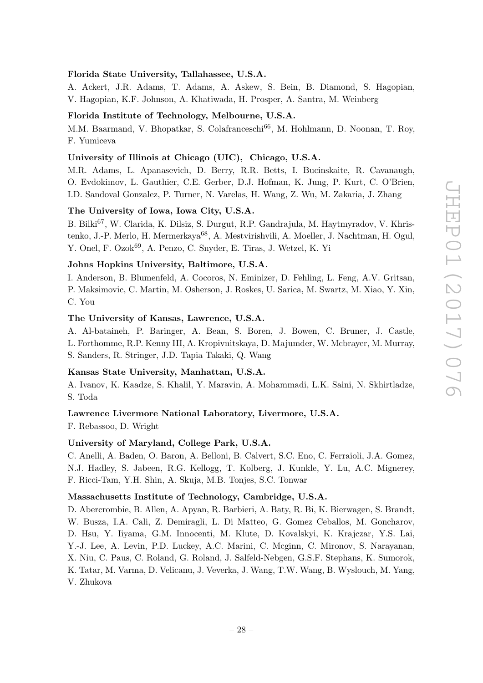### Florida State University, Tallahassee, U.S.A.

A. Ackert, J.R. Adams, T. Adams, A. Askew, S. Bein, B. Diamond, S. Hagopian, V. Hagopian, K.F. Johnson, A. Khatiwada, H. Prosper, A. Santra, M. Weinberg

### Florida Institute of Technology, Melbourne, U.S.A.

M.M. Baarmand, V. Bhopatkar, S. Colafranceschi<sup>66</sup>, M. Hohlmann, D. Noonan, T. Roy, F. Yumiceva

### University of Illinois at Chicago (UIC), Chicago, U.S.A.

M.R. Adams, L. Apanasevich, D. Berry, R.R. Betts, I. Bucinskaite, R. Cavanaugh, O. Evdokimov, L. Gauthier, C.E. Gerber, D.J. Hofman, K. Jung, P. Kurt, C. O'Brien, I.D. Sandoval Gonzalez, P. Turner, N. Varelas, H. Wang, Z. Wu, M. Zakaria, J. Zhang

### The University of Iowa, Iowa City, U.S.A.

B. Bilki<sup>67</sup>, W. Clarida, K. Dilsiz, S. Durgut, R.P. Gandrajula, M. Haytmyradov, V. Khristenko, J.-P. Merlo, H. Mermerkaya<sup>68</sup>, A. Mestvirishvili, A. Moeller, J. Nachtman, H. Ogul, Y. Onel, F. Ozok<sup>69</sup>, A. Penzo, C. Snyder, E. Tiras, J. Wetzel, K. Yi

# Johns Hopkins University, Baltimore, U.S.A.

I. Anderson, B. Blumenfeld, A. Cocoros, N. Eminizer, D. Fehling, L. Feng, A.V. Gritsan, P. Maksimovic, C. Martin, M. Osherson, J. Roskes, U. Sarica, M. Swartz, M. Xiao, Y. Xin, C. You

#### The University of Kansas, Lawrence, U.S.A.

A. Al-bataineh, P. Baringer, A. Bean, S. Boren, J. Bowen, C. Bruner, J. Castle, L. Forthomme, R.P. Kenny III, A. Kropivnitskaya, D. Majumder, W. Mcbrayer, M. Murray, S. Sanders, R. Stringer, J.D. Tapia Takaki, Q. Wang

### Kansas State University, Manhattan, U.S.A.

A. Ivanov, K. Kaadze, S. Khalil, Y. Maravin, A. Mohammadi, L.K. Saini, N. Skhirtladze, S. Toda

### Lawrence Livermore National Laboratory, Livermore, U.S.A.

F. Rebassoo, D. Wright

### University of Maryland, College Park, U.S.A.

C. Anelli, A. Baden, O. Baron, A. Belloni, B. Calvert, S.C. Eno, C. Ferraioli, J.A. Gomez, N.J. Hadley, S. Jabeen, R.G. Kellogg, T. Kolberg, J. Kunkle, Y. Lu, A.C. Mignerey, F. Ricci-Tam, Y.H. Shin, A. Skuja, M.B. Tonjes, S.C. Tonwar

### Massachusetts Institute of Technology, Cambridge, U.S.A.

D. Abercrombie, B. Allen, A. Apyan, R. Barbieri, A. Baty, R. Bi, K. Bierwagen, S. Brandt, W. Busza, I.A. Cali, Z. Demiragli, L. Di Matteo, G. Gomez Ceballos, M. Goncharov, D. Hsu, Y. Iiyama, G.M. Innocenti, M. Klute, D. Kovalskyi, K. Krajczar, Y.S. Lai, Y.-J. Lee, A. Levin, P.D. Luckey, A.C. Marini, C. Mcginn, C. Mironov, S. Narayanan, X. Niu, C. Paus, C. Roland, G. Roland, J. Salfeld-Nebgen, G.S.F. Stephans, K. Sumorok, K. Tatar, M. Varma, D. Velicanu, J. Veverka, J. Wang, T.W. Wang, B. Wyslouch, M. Yang, V. Zhukova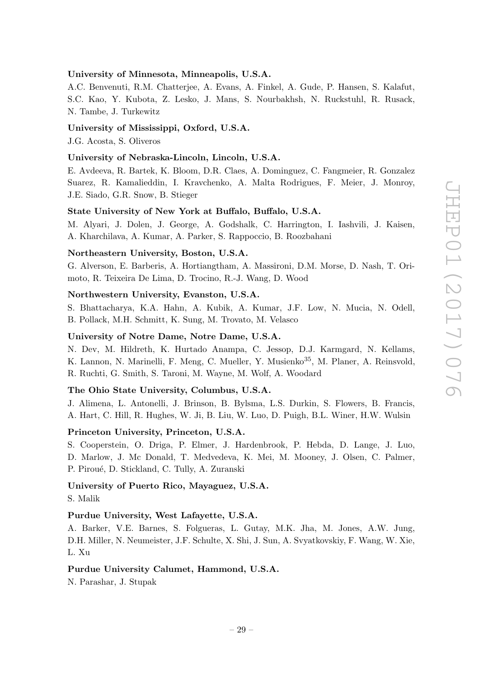### University of Minnesota, Minneapolis, U.S.A.

A.C. Benvenuti, R.M. Chatterjee, A. Evans, A. Finkel, A. Gude, P. Hansen, S. Kalafut, S.C. Kao, Y. Kubota, Z. Lesko, J. Mans, S. Nourbakhsh, N. Ruckstuhl, R. Rusack, N. Tambe, J. Turkewitz

### University of Mississippi, Oxford, U.S.A.

J.G. Acosta, S. Oliveros

### University of Nebraska-Lincoln, Lincoln, U.S.A.

E. Avdeeva, R. Bartek, K. Bloom, D.R. Claes, A. Dominguez, C. Fangmeier, R. Gonzalez Suarez, R. Kamalieddin, I. Kravchenko, A. Malta Rodrigues, F. Meier, J. Monroy, J.E. Siado, G.R. Snow, B. Stieger

### State University of New York at Buffalo, Buffalo, U.S.A.

M. Alyari, J. Dolen, J. George, A. Godshalk, C. Harrington, I. Iashvili, J. Kaisen, A. Kharchilava, A. Kumar, A. Parker, S. Rappoccio, B. Roozbahani

### Northeastern University, Boston, U.S.A.

G. Alverson, E. Barberis, A. Hortiangtham, A. Massironi, D.M. Morse, D. Nash, T. Orimoto, R. Teixeira De Lima, D. Trocino, R.-J. Wang, D. Wood

#### Northwestern University, Evanston, U.S.A.

S. Bhattacharya, K.A. Hahn, A. Kubik, A. Kumar, J.F. Low, N. Mucia, N. Odell, B. Pollack, M.H. Schmitt, K. Sung, M. Trovato, M. Velasco

# University of Notre Dame, Notre Dame, U.S.A.

N. Dev, M. Hildreth, K. Hurtado Anampa, C. Jessop, D.J. Karmgard, N. Kellams, K. Lannon, N. Marinelli, F. Meng, C. Mueller, Y. Musienko<sup>35</sup>, M. Planer, A. Reinsvold, R. Ruchti, G. Smith, S. Taroni, M. Wayne, M. Wolf, A. Woodard

#### The Ohio State University, Columbus, U.S.A.

J. Alimena, L. Antonelli, J. Brinson, B. Bylsma, L.S. Durkin, S. Flowers, B. Francis, A. Hart, C. Hill, R. Hughes, W. Ji, B. Liu, W. Luo, D. Puigh, B.L. Winer, H.W. Wulsin

#### Princeton University, Princeton, U.S.A.

S. Cooperstein, O. Driga, P. Elmer, J. Hardenbrook, P. Hebda, D. Lange, J. Luo, D. Marlow, J. Mc Donald, T. Medvedeva, K. Mei, M. Mooney, J. Olsen, C. Palmer, P. Piroué, D. Stickland, C. Tully, A. Zuranski

### University of Puerto Rico, Mayaguez, U.S.A.

S. Malik

### Purdue University, West Lafayette, U.S.A.

A. Barker, V.E. Barnes, S. Folgueras, L. Gutay, M.K. Jha, M. Jones, A.W. Jung, D.H. Miller, N. Neumeister, J.F. Schulte, X. Shi, J. Sun, A. Svyatkovskiy, F. Wang, W. Xie, L. Xu

### Purdue University Calumet, Hammond, U.S.A.

N. Parashar, J. Stupak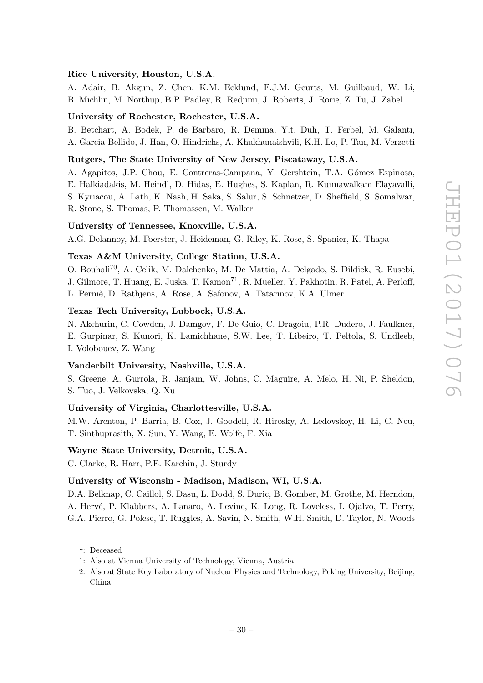### Rice University, Houston, U.S.A.

A. Adair, B. Akgun, Z. Chen, K.M. Ecklund, F.J.M. Geurts, M. Guilbaud, W. Li, B. Michlin, M. Northup, B.P. Padley, R. Redjimi, J. Roberts, J. Rorie, Z. Tu, J. Zabel

### University of Rochester, Rochester, U.S.A.

B. Betchart, A. Bodek, P. de Barbaro, R. Demina, Y.t. Duh, T. Ferbel, M. Galanti, A. Garcia-Bellido, J. Han, O. Hindrichs, A. Khukhunaishvili, K.H. Lo, P. Tan, M. Verzetti

### Rutgers, The State University of New Jersey, Piscataway, U.S.A.

A. Agapitos, J.P. Chou, E. Contreras-Campana, Y. Gershtein, T.A. Gómez Espinosa, E. Halkiadakis, M. Heindl, D. Hidas, E. Hughes, S. Kaplan, R. Kunnawalkam Elayavalli, S. Kyriacou, A. Lath, K. Nash, H. Saka, S. Salur, S. Schnetzer, D. Sheffield, S. Somalwar, R. Stone, S. Thomas, P. Thomassen, M. Walker

### University of Tennessee, Knoxville, U.S.A.

A.G. Delannoy, M. Foerster, J. Heideman, G. Riley, K. Rose, S. Spanier, K. Thapa

# Texas A&M University, College Station, U.S.A.

O. Bouhali70, A. Celik, M. Dalchenko, M. De Mattia, A. Delgado, S. Dildick, R. Eusebi, J. Gilmore, T. Huang, E. Juska, T. Kamon<sup>71</sup>, R. Mueller, Y. Pakhotin, R. Patel, A. Perloff, L. Perniè, D. Rathjens, A. Rose, A. Safonov, A. Tatarinov, K.A. Ulmer

#### Texas Tech University, Lubbock, U.S.A.

N. Akchurin, C. Cowden, J. Damgov, F. De Guio, C. Dragoiu, P.R. Dudero, J. Faulkner,

E. Gurpinar, S. Kunori, K. Lamichhane, S.W. Lee, T. Libeiro, T. Peltola, S. Undleeb, I. Volobouev, Z. Wang

#### Vanderbilt University, Nashville, U.S.A.

S. Greene, A. Gurrola, R. Janjam, W. Johns, C. Maguire, A. Melo, H. Ni, P. Sheldon, S. Tuo, J. Velkovska, Q. Xu

### University of Virginia, Charlottesville, U.S.A.

M.W. Arenton, P. Barria, B. Cox, J. Goodell, R. Hirosky, A. Ledovskoy, H. Li, C. Neu, T. Sinthuprasith, X. Sun, Y. Wang, E. Wolfe, F. Xia

### Wayne State University, Detroit, U.S.A.

C. Clarke, R. Harr, P.E. Karchin, J. Sturdy

### University of Wisconsin - Madison, Madison, WI, U.S.A.

D.A. Belknap, C. Caillol, S. Dasu, L. Dodd, S. Duric, B. Gomber, M. Grothe, M. Herndon, A. Hervé, P. Klabbers, A. Lanaro, A. Levine, K. Long, R. Loveless, I. Ojalvo, T. Perry, G.A. Pierro, G. Polese, T. Ruggles, A. Savin, N. Smith, W.H. Smith, D. Taylor, N. Woods

- 1: Also at Vienna University of Technology, Vienna, Austria
- 2: Also at State Key Laboratory of Nuclear Physics and Technology, Peking University, Beijing, China

<sup>†</sup>: Deceased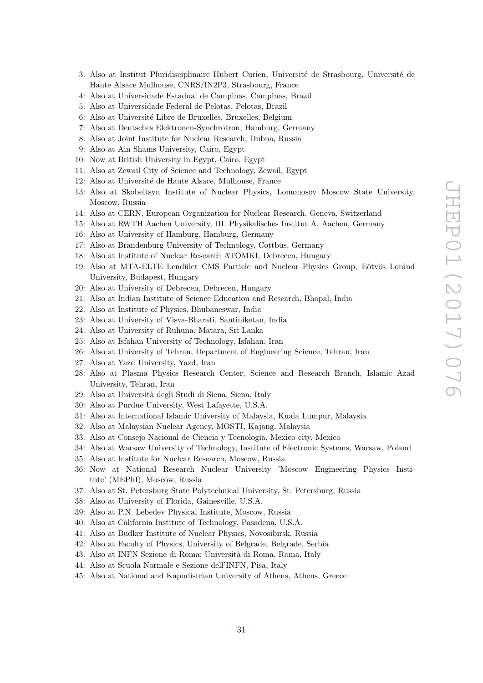- 3: Also at Institut Pluridisciplinaire Hubert Curien, Université de Strasbourg, Université de Haute Alsace Mulhouse, CNRS/IN2P3, Strasbourg, France
- 4: Also at Universidade Estadual de Campinas, Campinas, Brazil
- 5: Also at Universidade Federal de Pelotas, Pelotas, Brazil
- 6: Also at Université Libre de Bruxelles, Bruxelles, Belgium
- 7: Also at Deutsches Elektronen-Synchrotron, Hamburg, Germany
- 8: Also at Joint Institute for Nuclear Research, Dubna, Russia
- 9: Also at Ain Shams University, Cairo, Egypt
- 10: Now at British University in Egypt, Cairo, Egypt
- 11: Also at Zewail City of Science and Technology, Zewail, Egypt
- 12: Also at Université de Haute Alsace, Mulhouse, France
- 13: Also at Skobeltsyn Institute of Nuclear Physics, Lomonosov Moscow State University, Moscow, Russia
- 14: Also at CERN, European Organization for Nuclear Research, Geneva, Switzerland
- 15: Also at RWTH Aachen University, III. Physikalisches Institut A, Aachen, Germany
- 16: Also at University of Hamburg, Hamburg, Germany
- 17: Also at Brandenburg University of Technology, Cottbus, Germany
- 18: Also at Institute of Nuclear Research ATOMKI, Debrecen, Hungary
- 19: Also at MTA-ELTE Lendület CMS Particle and Nuclear Physics Group, Eötvös Loránd University, Budapest, Hungary
- 20: Also at University of Debrecen, Debrecen, Hungary
- 21: Also at Indian Institute of Science Education and Research, Bhopal, India
- 22: Also at Institute of Physics, Bhubaneswar, India
- 23: Also at University of Visva-Bharati, Santiniketan, India
- 24: Also at University of Ruhuna, Matara, Sri Lanka
- 25: Also at Isfahan University of Technology, Isfahan, Iran
- 26: Also at University of Tehran, Department of Engineering Science, Tehran, Iran
- 27: Also at Yazd University, Yazd, Iran
- 28: Also at Plasma Physics Research Center, Science and Research Branch, Islamic Azad University, Tehran, Iran
- 29: Also at Università degli Studi di Siena, Siena, Italy
- 30: Also at Purdue University, West Lafayette, U.S.A.
- 31: Also at International Islamic University of Malaysia, Kuala Lumpur, Malaysia
- 32: Also at Malaysian Nuclear Agency, MOSTI, Kajang, Malaysia
- 33: Also at Consejo Nacional de Ciencia y Tecnología, Mexico city, Mexico
- 34: Also at Warsaw University of Technology, Institute of Electronic Systems, Warsaw, Poland
- 35: Also at Institute for Nuclear Research, Moscow, Russia
- 36: Now at National Research Nuclear University 'Moscow Engineering Physics Institute' (MEPhI), Moscow, Russia
- 37: Also at St. Petersburg State Polytechnical University, St. Petersburg, Russia
- 38: Also at University of Florida, Gainesville, U.S.A.
- 39: Also at P.N. Lebedev Physical Institute, Moscow, Russia
- 40: Also at California Institute of Technology, Pasadena, U.S.A.
- 41: Also at Budker Institute of Nuclear Physics, Novosibirsk, Russia
- 42: Also at Faculty of Physics, University of Belgrade, Belgrade, Serbia
- 43: Also at INFN Sezione di Roma; Università di Roma, Roma, Italy
- 44: Also at Scuola Normale e Sezione dell'INFN, Pisa, Italy
- 45: Also at National and Kapodistrian University of Athens, Athens, Greece